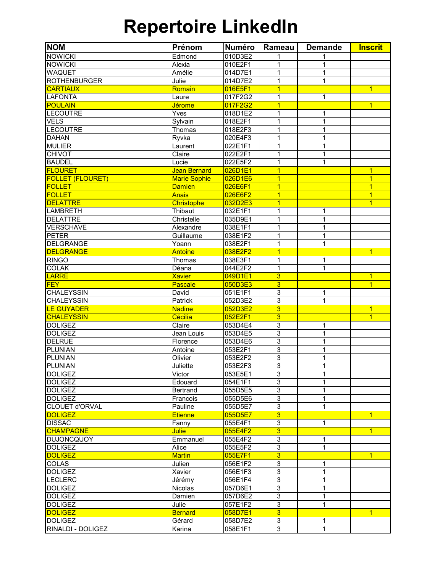## **Repertoire LinkedIn**

| <b>NOM</b>                       | Prénom              | <b>Numéro</b> | Rameau                    | <b>Demande</b>    | <b>Inscrit</b> |
|----------------------------------|---------------------|---------------|---------------------------|-------------------|----------------|
| <b>NOWICKI</b>                   | Edmond              | 010D3E2       | 1                         |                   |                |
| <b>NOWICKI</b>                   | Alexia              | 010E2F1       | $\mathbf{1}$              | $\overline{1}$    |                |
| <b>WAQUET</b>                    | Amélie              | 014D7E1       | $\overline{1}$            | $\mathbf{1}$      |                |
| <b>ROTHENBURGER</b>              | Julie               | 014D7E2       | $\overline{1}$            | $\overline{1}$    |                |
| <b>CARTIAUX</b>                  | Romain              | 016E5F1       | $\overline{1}$            |                   | $\overline{1}$ |
| <b>LAFONTA</b>                   | Laure               | 017F2G2       | $\mathbf 1$               | 1                 |                |
| <b>POULAIN</b>                   | <b>Jérome</b>       | 017F2G2       | $\overline{1}$            |                   | $\overline{1}$ |
| <b>LECOUTRE</b>                  | Yves                | 018D1E2       | 1                         | 1                 |                |
| <b>VELS</b>                      | Sylvain             | 018E2F1       | $\mathbf 1$               | $\mathbf{1}$      |                |
| <b>LECOUTRE</b>                  | Thomas              | 018E2F3       | $\mathbf 1$               | $\mathbf{1}$      |                |
| <b>DAHAN</b>                     | Ryvka               | 020E4F3       | $\mathbf{1}$              | $\mathbf{1}$      |                |
| <b>MULIER</b>                    | Laurent             | 022E1F1       | 1                         | 1                 |                |
| <b>CHIVOT</b>                    | Claire              | 022E2F1       | 1                         | $\mathbf{1}$      |                |
| <b>BAUDEL</b>                    | Lucie               | 022E5F2       | 1                         | 1                 |                |
| <b>FLOURET</b>                   | <b>Jean Bernard</b> | 026D1E1       | $\overline{1}$            |                   | $\overline{1}$ |
| <b>FOLLET (FLOURET)</b>          | <b>Marie Sophie</b> | 026D1E6       | $\overline{1}$            |                   | $\mathbf{1}$   |
| <b>FOLLET</b>                    | <b>Damien</b>       | 026E6F1       | $\overline{1}$            |                   | $\overline{1}$ |
| <b>FOLLET</b>                    | <b>Anais</b>        | 026E6F2       | $\overline{1}$            |                   | $\overline{1}$ |
| <b>DELATTRE</b>                  | <b>Christophe</b>   | 032D2E3       | $\overline{1}$            |                   | $\overline{1}$ |
| <b>LAMBRETH</b>                  | Thibaut             | 032E1F1       | 1                         | 1                 |                |
| <b>DELATTRE</b>                  | Christelle          |               |                           |                   |                |
| <b>VERSCHAVE</b>                 | Alexandre           | 035D9E1       | 1<br>1                    | 1<br>$\mathbf{1}$ |                |
|                                  |                     | 038E1F1       |                           |                   |                |
| <b>PETER</b><br><b>DELGRANGE</b> | Guillaume           | 038E1F2       | 1                         | 1                 |                |
|                                  | Yoann               | 038E2F1       | $\mathbf{1}$              | 1                 |                |
| <b>DELGRANGE</b>                 | Antoine             | 038E2F2       | 1                         |                   | $\mathbf{1}$   |
| <b>RINGO</b>                     | Thomas              | 038E3F1       | $\mathbf{1}$              | 1                 |                |
| <b>COLAK</b>                     | Déana               | 044E2F2       | $\mathbf 1$               | 1                 |                |
| <b>LARRE</b>                     | <b>Xavier</b>       | 049D1E1       | $\overline{3}$            |                   | $\overline{1}$ |
| <b>FEY</b>                       | Pascale             | 050D3E3       | $\overline{3}$            |                   | $\overline{1}$ |
| <b>CHALEYSSIN</b>                | David               | 051E1F1       | 3                         | 1                 |                |
| <b>CHALEYSSIN</b>                | Patrick             | 052D3E2       | 3                         | $\mathbf{1}$      |                |
| <b>LE GUYADER</b>                | <b>Nadine</b>       | 052D3E2       | $\overline{3}$            |                   | $\overline{1}$ |
| <b>CHALEYSSIN</b>                | Cécilia             | 052E2F1       | 3                         |                   | $\overline{1}$ |
| <b>DOLIGEZ</b>                   | Claire              | 053D4E4       | 3                         | 1                 |                |
| <b>DOLIGEZ</b>                   | Jean Louis          | 053D4E5       | $\overline{3}$            | $\mathbf 1$       |                |
| <b>DELRUE</b>                    | Florence            | 053D4E6       | $\overline{3}$            | $\mathbf{1}$      |                |
| <b>PLUNIAN</b>                   | Antoine             | 053E2F1       | 3                         | 1                 |                |
| <b>PLUNIAN</b>                   | Olivier             | 053E2F2       | 3                         | 1                 |                |
| <b>PLUNIAN</b>                   | Juliette            | 053E2F3       | $\overline{3}$            | 1                 |                |
| <b>DOLIGEZ</b>                   | Victor              | 053E5E1       | 3                         | 1                 |                |
| <b>DOLIGEZ</b>                   | Edouard             | 054E1F1       | 3                         |                   |                |
| <b>DOLIGEZ</b>                   | Bertrand            | 055D5E5       | 3                         | 1                 |                |
| <b>DOLIGEZ</b>                   | Francois            | 055D5E6       | 3                         | 1                 |                |
| <b>CLOUET d'ORVAL</b>            | Pauline             | 055D5E7       | $\overline{3}$            | 1                 |                |
| <b>DOLIGEZ</b>                   | <b>Etienne</b>      | 055D5E7       | $\overline{3}$            |                   | $\mathbf{1}$   |
| <b>DISSAC</b>                    | Fanny               | 055E4F1       | 3                         | 1                 |                |
| <b>CHAMPAGNE</b>                 | Julie               | 055E4F2       | $\overline{3}$            |                   | $\overline{1}$ |
| <b>DUJONCQUOY</b>                | Emmanuel            | 055E4F2       | $\ensuremath{\mathsf{3}}$ | 1                 |                |
| <b>DOLIGEZ</b>                   | Alice               | 055E5F2       | 3                         | 1                 |                |
| <b>DOLIGEZ</b>                   | <b>Martin</b>       | 055E7F1       | $\overline{3}$            |                   | $\mathbf{1}$   |
| COLAS                            | Julien              | 056E1F2       | $\mathsf 3$               | 1                 |                |
| <b>DOLIGEZ</b>                   | Xavier              | 056E1F3       | $\overline{3}$            | $\mathbf{1}$      |                |
| <b>LECLERC</b>                   | Jérémy              | 056E1F4       | $\overline{3}$            | 1                 |                |
| <b>DOLIGEZ</b>                   | Nicolas             | 057D6E1       | 3                         | 1                 |                |
| <b>DOLIGEZ</b>                   | Damien              | 057D6E2       | $\overline{3}$            | $\mathbf{1}$      |                |
| <b>DOLIGEZ</b>                   | Julie               | 057E1F2       | 3                         | 1                 |                |
| <b>DOLIGEZ</b>                   | <b>Bernard</b>      | 058D7E1       | $\overline{3}$            |                   | $\overline{1}$ |
| <b>DOLIGEZ</b>                   | Gérard              | 058D7E2       | 3                         | 1                 |                |
| RINALDI - DOLIGEZ                | Karina              | 058E1F1       | 3                         | $\mathbf{1}$      |                |
|                                  |                     |               |                           |                   |                |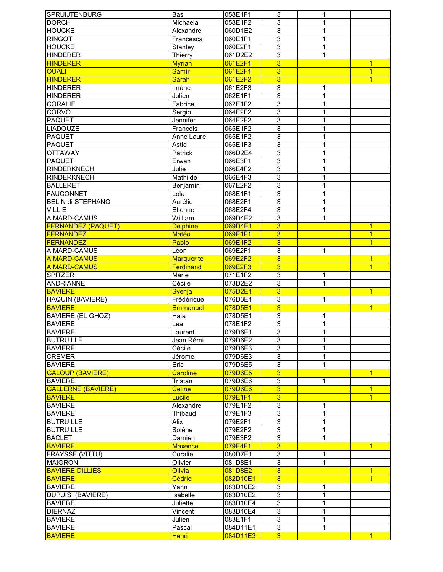| <b>SPRUIJTENBURG</b>      | Bas               | 058E1F1  | 3                         | 1            |                |
|---------------------------|-------------------|----------|---------------------------|--------------|----------------|
| <b>DORCH</b>              | Michaela          | 058E1F2  | 3                         | 1            |                |
| <b>HOUCKE</b>             | Alexandre         | 060D1E2  | 3                         | 1            |                |
| <b>RINGOT</b>             | Francesca         | 060E1F1  | $\overline{3}$            | 1            |                |
| <b>HOUCKE</b>             | Stanley           | 060E2F1  | $\overline{3}$            | 1            |                |
| <b>HINDERER</b>           | Thierry           | 061D2E2  | $\overline{3}$            | 1            |                |
| <b>HINDERER</b>           | <b>Myrian</b>     | 061E2F1  | $\overline{3}$            |              | $\mathbf{1}$   |
| <b>OUALI</b>              | <b>Samir</b>      | 061E2F1  | 3                         |              | $\overline{1}$ |
| <b>HINDERER</b>           | <b>Sarah</b>      | 061E2F2  | $\overline{3}$            |              | $\overline{1}$ |
|                           |                   |          | 3                         |              |                |
| <b>HINDERER</b>           | Imane             | 061E2F3  |                           | 1            |                |
| <b>HINDERER</b>           | Julien            | 062E1F1  | $\overline{3}$            | 1            |                |
| <b>CORALIE</b>            | Fabrice           | 062E1F2  | $\overline{3}$            | 1            |                |
| <b>CORVO</b>              | Sergio            | 064E2F2  | $\overline{3}$            | 1            |                |
| <b>PAQUET</b>             | Jennifer          | 064E2F2  | $\overline{3}$            | 1            |                |
| <b>LIADOUZE</b>           | Francois          | 065E1F2  | $\overline{3}$            | $\mathbf 1$  |                |
| <b>PAQUET</b>             | Anne Laure        | 065E1F2  | $\overline{3}$            | 1            |                |
| <b>PAQUET</b>             | Astid             | 065E1F3  | $\overline{3}$            | 1            |                |
| <b>OTTAWAY</b>            | Patrick           | 066D2E4  | $\overline{3}$            | 1            |                |
| <b>PAQUET</b>             | Erwan             | 066E3F1  | 3                         | 1            |                |
| <b>RINDERKNECH</b>        | Julie             | 066E4F2  | 3                         | 1            |                |
| <b>RINDERKNECH</b>        | Mathilde          | 066E4F3  | 3                         | 1            |                |
| <b>BALLERET</b>           | Benjamin          | 067E2F2  | 3                         | 1            |                |
| <b>FAUCONNET</b>          | Lola              | 068E1F1  | $\overline{3}$            | 1            |                |
| <b>BELIN di STEPHANO</b>  |                   |          | 3                         |              |                |
|                           | Aurélie           | 068E2F1  |                           | 1            |                |
| <b>VILLIE</b>             | Etienne           | 068E2F4  | $\overline{3}$            | 1            |                |
| AIMARD-CAMUS              | William           | 069D4E2  | 3                         | 1            |                |
| <b>FERNANDEZ (PAQUET)</b> | <b>Delphine</b>   | 069D4E1  | $\overline{3}$            |              | $\overline{1}$ |
| <b>FERNANDEZ</b>          | <b>Matéo</b>      | 069E1F1  | 3                         |              | $\overline{1}$ |
| <b>FERNANDEZ</b>          | Pablo             | 069E1F2  | $\overline{3}$            |              | $\overline{1}$ |
| AIMARD-CAMUS              | Léon              | 069E2F1  | 3                         | 1            |                |
| <b>AIMARD-CAMUS</b>       | <b>Marguerite</b> | 069E2F2  | $\overline{3}$            |              | $\overline{1}$ |
| <b>AIMARD-CAMUS</b>       | Ferdinand         | 069E2F3  | $\overline{3}$            |              | $\overline{1}$ |
| <b>SPITZER</b>            | Marie             | 071E1F2  | $\ensuremath{\mathsf{3}}$ | 1            |                |
| ANDRIANNE                 | Cécile            | 073D2E2  | 3                         | 1            |                |
| <b>BAVIERE</b>            | Svenja            | 075D2E1  | $\overline{3}$            |              | $\overline{1}$ |
| HAQUIN (BAVIERE)          | Frédérique        | 076D3E1  | 3                         | $\mathbf 1$  |                |
| <b>BAVIERE</b>            | <b>Emmanuel</b>   | 078D5E1  | $\overline{3}$            |              | $\overline{1}$ |
| <b>BAVIERE (EL GHOZ)</b>  | <b>Hala</b>       | 078D5E1  | 3                         | 1            |                |
| <b>BAVIERE</b>            | Léa               | 078E1F2  | $\overline{3}$            | 1            |                |
|                           |                   | 079D6E1  | $\overline{3}$            | 1            |                |
| <b>BAVIERE</b>            | Laurent           |          |                           |              |                |
| <b>BUTRUILLE</b>          | Jean Rémi         | 079D6E2  | 3                         | 1            |                |
| <b>BAVIERE</b>            | Cécile            | 079D6E3  | $\overline{3}$            | 1            |                |
| <b>CREMER</b>             | Jérome            | 079D6E3  | $\overline{3}$            | $\mathbf{1}$ |                |
| <b>BAVIERE</b>            | Eric              | 079D6E5  | 3                         | $\mathbf{1}$ |                |
| <b>GALOUP (BAVIERE)</b>   | <b>Caroline</b>   | 079D6E5  | $\overline{3}$            |              | $\overline{1}$ |
| <b>BAVIERE</b>            | Tristan           | 079D6E6  | 3                         | $\mathbf{1}$ |                |
| <b>GALLERNE (BAVIERE)</b> | Céline            | 079D6E6  | $\overline{3}$            |              | $\overline{1}$ |
| <b>BAVIERE</b>            | <b>Lucile</b>     | 079E1F1  | $\overline{3}$            |              | $\overline{1}$ |
| <b>BAVIERE</b>            | Alexandre         | 079E1F2  | 3                         | 1            |                |
| <b>BAVIERE</b>            | Thibaud           | 079E1F3  | 3                         | 1            |                |
| <b>BUTRUILLE</b>          | Alix              | 079E2F1  | 3                         | 1            |                |
| <b>BUTRUILLE</b>          | Solène            | 079E2F2  | 3                         | 1            |                |
| <b>BACLET</b>             | Damien            | 079E3F2  | 3                         | 1            |                |
| <b>BAVIERE</b>            | <b>Maxence</b>    | 079E4F1  | $\overline{3}$            |              | $\overline{1}$ |
| FRAYSSE (VITTU)           | Coralie           | 080D7E1  | 3                         | 1            |                |
|                           |                   |          | $\overline{3}$            |              |                |
| <b>MAIGRON</b>            | Olivier           | 081D8E1  |                           | 1            |                |
| <b>BAVIERE DILLIES</b>    | <b>Olivia</b>     | 081D8E2  | $\overline{3}$            |              | $\mathbf{1}$   |
| <b>BAVIERE</b>            | Cédric            | 082D10E1 | 3                         |              | $\overline{1}$ |
| <b>BAVIERE</b>            | Yann              | 083D10E2 | 3                         | 1            |                |
| <b>DUPUIS (BAVIERE)</b>   | Isabelle          | 083D10E2 | 3                         | 1            |                |
| <b>BAVIERE</b>            | Juliette          | 083D10E4 | 3                         | 1            |                |
| <b>DIERNAZ</b>            | Vincent           | 083D10E4 | 3                         | 1            |                |
| <b>BAVIERE</b>            | Julien            | 083E1F1  | 3                         | 1            |                |
| <b>BAVIERE</b>            |                   | 084D11E1 | $\overline{3}$            | 1            |                |
|                           | Pascal            |          |                           |              |                |
| <b>BAVIERE</b>            | <b>Henri</b>      | 084D11E3 | $\overline{3}$            |              | $\overline{1}$ |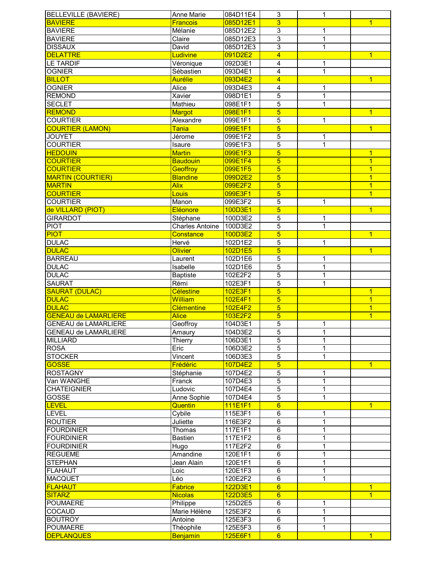| <b>BELLEVILLE (BAVIERE)</b> | Anne Marie             | 084D11E4 | 3                       | 1              |                |
|-----------------------------|------------------------|----------|-------------------------|----------------|----------------|
| <b>BAVIERE</b>              | <b>Francois</b>        | 085D12E1 | $\overline{3}$          |                | $\overline{1}$ |
| <b>BAVIERE</b>              | Mélanie                | 085D12E2 | 3                       | 1              |                |
| <b>BAVIERE</b>              | Claire                 | 085D12E3 | $\overline{3}$          | 1              |                |
| <b>DISSAUX</b>              | David                  | 085D12E3 | $\overline{3}$          | $\mathbf 1$    |                |
| <b>DELATTRE</b>             | Ludivine               | 091D2E2  | $\overline{4}$          |                | $\overline{1}$ |
| <b>LE TARDIF</b>            | Véronique              | 092D3E1  | 4                       | $\mathbf 1$    |                |
| <b>OGNIER</b>               | Sébastien              | 093D4E1  | 4                       | $\mathbf{1}$   |                |
| <b>BILLOT</b>               | <b>Aurélie</b>         | 093D4E2  | $\overline{4}$          |                | $\overline{1}$ |
| <b>OGNIER</b>               | Alice                  | 093D4E3  | 4                       | 1              |                |
| <b>REMOND</b>               | Xavier                 | 098D1E1  | 5                       | 1              |                |
| <b>SECLET</b>               | Mathieu                | 098E1F1  | 5                       | 1              |                |
| <b>REMOND</b>               | Margot                 | 098E1F1  | $\overline{\mathbf{5}}$ |                | $\overline{1}$ |
| <b>COURTIER</b>             |                        |          |                         |                |                |
|                             | Alexandre              | 099E1F1  | 5                       | $\mathbf 1$    |                |
| <b>COURTIER (LAMON)</b>     | <b>Tania</b>           | 099E1F1  | $\overline{5}$          |                | $\overline{1}$ |
| <b>JOUYET</b>               | Jérome                 | 099E1F2  | 5                       | 1              |                |
| <b>COURTIER</b>             | Isaure                 | 099E1F3  | 5                       | $\overline{1}$ |                |
| <b>HEDOUIN</b>              | <b>Martin</b>          | 099E1F3  | $\overline{5}$          |                | $\overline{1}$ |
| <b>COURTIER</b>             | <b>Baudouin</b>        | 099E1F4  | $\overline{5}$          |                | $\overline{1}$ |
| <b>COURTIER</b>             | Geoffroy               | 099E1F5  | 5                       |                | 1              |
| <b>MARTIN (COURTIER)</b>    | <b>Blandine</b>        | 099D2E2  | $\overline{5}$          |                | $\overline{1}$ |
| <b>MARTIN</b>               | <b>Alix</b>            | 099E2F2  | 5                       |                | $\overline{1}$ |
| <b>COURTIER</b>             | Louis                  | 099E3F1  | 5                       |                | $\overline{1}$ |
| <b>COURTIER</b>             | Manon                  | 099E3F2  | 5                       | $\mathbf 1$    |                |
| de VILLARD (PIOT)           | Eléonore               | 100D3E1  | $\overline{5}$          |                | $\overline{1}$ |
| <b>GIRARDOT</b>             | Stéphane               | 100D3E2  | 5                       | 1              |                |
| <b>PIOT</b>                 | <b>Charles Antoine</b> | 100D3E2  | 5                       | 1              |                |
| <b>PIOT</b>                 | Constance              | 100D3E2  | $\overline{5}$          |                | $\overline{1}$ |
| <b>DULAC</b>                | Hervé                  | 102D1E2  | $\overline{5}$          | 1              |                |
| <b>DULAC</b>                | <b>Olivier</b>         | 102D1E5  | $\overline{5}$          |                | $\overline{1}$ |
| <b>BARREAU</b>              | Laurent                | 102D1E6  | $\overline{5}$          | 1              |                |
| <b>DULAC</b>                | Isabelle               | 102D1E6  | $\overline{5}$          | $\overline{1}$ |                |
| <b>DULAC</b>                | Baptiste               | 102E2F2  | 5                       | 1              |                |
| <b>SAURAT</b>               | Rémi                   | 102E3F1  | 5                       | 1              |                |
| <b>SAURAT (DULAC)</b>       | <b>Célestine</b>       | 102E3F1  | $\overline{5}$          |                | $\overline{1}$ |
| <b>DULAC</b>                | William                | 102E4F1  | $\overline{5}$          |                | $\overline{1}$ |
| <b>DULAC</b>                | <b>Clémentine</b>      | 102E4F2  | $\overline{5}$          |                | $\overline{1}$ |
| <b>GENEAU de LAMARLIERE</b> | <b>Alice</b>           | 103E2F2  | $\overline{5}$          |                | $\overline{1}$ |
| <b>GENEAU de LAMARLIERE</b> |                        |          |                         |                |                |
| <b>GENEAU de LAMARLIERE</b> | Geoffroy               | 104D3E1  | 5<br>5                  | 1              |                |
|                             | Amaury                 | 104D3E2  |                         | 1              |                |
| <b>MILLIARD</b>             | Thierry                | 106D3E1  | 5                       | 1              |                |
| <b>ROSA</b>                 | Eric                   | 106D3E2  | 5                       | 1              |                |
| <b>STOCKER</b>              | Vincent                | 106D3E3  | 5                       | 1              |                |
| <b>GOSSE</b>                | Frédéric               | 107D4E2  | 5                       |                | $\overline{1}$ |
| <b>ROSTAGNY</b>             | Stéphanie              | 107D4E2  | 5                       | 1              |                |
| Van WANGHE                  | Franck                 | 107D4E3  | $\overline{5}$          | 1              |                |
| <b>CHATEIGNIER</b>          | Ludovic                | 107D4E4  | $\overline{5}$          | 1              |                |
| GOSSE                       | Anne Sophie            | 107D4E4  | 5                       | 1              |                |
| <b>LEVEL</b>                | Quentin                | 111E1F1  | $6\overline{6}$         |                | $\mathbf{1}$   |
| <b>LEVEL</b>                | Cybile                 | 115E3F1  | 6                       | 1              |                |
| <b>ROUTIER</b>              | Juliette               | 116E3F2  | $\overline{6}$          | 1              |                |
| <b>FOURDINIER</b>           | Thomas                 | 117E1F1  | 6                       | 1              |                |
| <b>FOURDINIER</b>           | <b>Bastien</b>         | 117E1F2  | $\overline{6}$          | 1              |                |
| <b>FOURDINIER</b>           | Hugo                   | 117E2F2  | $\overline{6}$          | 1              |                |
| <b>REGUEME</b>              | Amandine               | 120E1F1  | $\overline{6}$          | $\mathbf 1$    |                |
| <b>STEPHAN</b>              | Jean Alain             | 120E1F1  | $\overline{6}$          | 1              |                |
| <b>FLAHAUT</b>              | Loic                   | 120E1F3  | 6                       | $\mathbf{1}$   |                |
| <b>MACQUET</b>              | Léo                    | 120E2F2  | 6                       | $\mathbf{1}$   |                |
| <b>FLAHAUT</b>              | Fabrice                | 122D3E1  | $6\phantom{1}6$         |                | $\overline{1}$ |
| <b>SITARZ</b>               | <b>Nicolas</b>         | 122D3E5  | $6\overline{6}$         |                | $\overline{1}$ |
| <b>POUMAERE</b>             | Philippe               | 125D2E5  | 6                       | 1              |                |
| COCAUD                      | Marie Hélène           | 125E3F2  | 6                       | 1              |                |
| <b>BOUTROY</b>              | Antoine                | 125E3F3  | 6                       | 1              |                |
| <b>POUMAERE</b>             | Théophile              | 125E5F3  | 6                       | 1              |                |
| <b>DEPLANQUES</b>           | <b>Benjamin</b>        | 125E6F1  | $6\overline{6}$         |                | $\mathbf{1}$   |
|                             |                        |          |                         |                |                |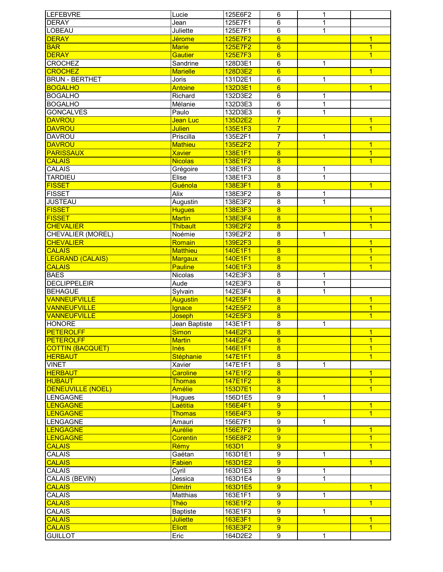| <b>LEFEBVRE</b>                 | Lucie                 | 125E6F2            | 6                       | 1              |                |
|---------------------------------|-----------------------|--------------------|-------------------------|----------------|----------------|
| <b>DERAY</b>                    | Jean                  | 125E7F1            | $\overline{6}$          | 1              |                |
| <b>LOBEAU</b>                   | Juliette              | 125E7F1            | 6                       | 1              |                |
| <b>DERAY</b>                    | <b>Jérome</b>         | 125E7F2            | 6                       |                | $\overline{1}$ |
| <b>BAR</b>                      | <b>Marie</b>          | 125E7F2            | $\overline{6}$          |                | $\overline{1}$ |
| <b>DERAY</b>                    | <b>Gautier</b>        | 125E7F3            | $6\phantom{1}6$         |                | $\overline{1}$ |
| <b>CROCHEZ</b>                  | Sandrine              | 128D3E1            | $\overline{6}$          | 1              |                |
| <b>CROCHEZ</b>                  | <b>Marielle</b>       |                    | $\overline{6}$          |                | $\overline{1}$ |
|                                 |                       | 128D3E2            |                         |                |                |
| <b>BRUN - BERTHET</b>           | Joris                 | 131D2E1            | $\,6$                   | 1              |                |
| <b>BOGALHO</b>                  | Antoine               | 132D3E1            | $6\phantom{a}$          |                | $\overline{1}$ |
| <b>BOGALHO</b>                  | Richard               | 132D3E2            | 6                       | 1              |                |
| <b>BOGALHO</b>                  | Mélanie               | 132D3E3            | 6                       | 1              |                |
| <b>GONCALVES</b>                | Paulo                 | 132D3E3            | 6                       | 1              |                |
| <b>DAVROU</b>                   | Jean Luc              | 135D2E2            | $\overline{7}$          |                | $\overline{1}$ |
| <b>DAVROU</b>                   | <b>Julien</b>         | 135E1F3            | $\overline{7}$          |                | $\overline{1}$ |
| <b>DAVROU</b>                   | Priscilla             | 135E2F1            | 7                       | 1              |                |
| <b>DAVROU</b>                   | <b>Mathieu</b>        | 135E2F2            | $\overline{7}$          |                | 1              |
| <b>PARISSAUX</b>                | <b>Xavier</b>         | 138E1F1            | $\overline{8}$          |                | $\overline{1}$ |
| <b>CALAIS</b>                   | <b>Nicolas</b>        | 138E1F2            | $\overline{8}$          |                | $\overline{1}$ |
| CALAIS                          | Grégoire              | 138E1F3            | 8                       | 1              |                |
| <b>TARDIEU</b>                  | Elise                 | 138E1F3            | 8                       | 1              |                |
|                                 |                       |                    |                         |                |                |
| <b>FISSET</b>                   | Guénola               | 138E3F1            | $\bf{8}$                |                | $\overline{1}$ |
| <b>FISSET</b>                   | Alix                  | 138E3F2            | 8                       | 1              |                |
| <b>JUSTEAU</b>                  | Augustin              | 138E3F2            | $\overline{8}$          | $\overline{1}$ |                |
| <b>FISSET</b>                   | <b>Hugues</b>         | 138E3F3            | $\overline{8}$          |                | $\overline{1}$ |
| <b>FISSET</b>                   | <b>Martin</b>         | 138E3F4            | $\overline{8}$          |                | $\overline{1}$ |
| <b>CHEVALIER</b>                | Thibault              | 139E2F2            | $\overline{8}$          |                | $\overline{1}$ |
| CHEVALIER (MOREL)               | Noémie                | 139E2F2            | $\overline{8}$          | 1              |                |
| <b>CHEVALIER</b>                | Romain                | 139E2F3            | $\overline{8}$          |                | $\overline{1}$ |
| <b>CALAIS</b>                   | <b>Matthieu</b>       | 140E1F1            | $\overline{8}$          |                | $\overline{1}$ |
| <b>LEGRAND (CALAIS)</b>         | <b>Margaux</b>        | 140E1F1            | $\overline{8}$          |                | $\overline{1}$ |
| <b>CALAIS</b>                   | <b>Pauline</b>        | 140E1F3            | $\overline{8}$          |                | $\overline{1}$ |
|                                 |                       |                    | $\overline{\mathbf{8}}$ |                |                |
| <b>BAES</b>                     | Nicolas               | 142E3F3            |                         | 1              |                |
| <b>DECLIPPELEIR</b>             | Aude                  | 142E3F3            | $\overline{8}$          | $\overline{1}$ |                |
| <b>BEHAGUE</b>                  | Sylvain               | 142E3F4            | 8                       | 1              |                |
| <b>VANNEUFVILLE</b>             | Augustin              | 142E5F1            | 8                       |                | $\overline{1}$ |
| <b>VANNEUFVILLE</b>             | Ignace                | 142E5F2            | $\overline{8}$          |                | $\mathbf{1}$   |
| <b>VANNEUFVILLE</b>             | Joseph                | 142E5F3            | $\overline{8}$          |                | $\overline{1}$ |
| <b>HONORE</b>                   | Jean Baptiste         | 143E1F1            | 8                       | 1              |                |
| <b>PETEROLFF</b>                | <b>Simon</b>          | 144E2F3            | 8                       |                | $\overline{1}$ |
| <b>PETEROLFF</b>                | <b>Martin</b>         | 144E2F4            | 8                       |                | $\overline{1}$ |
| <b>COTTIN (BACQUET)</b>         | <b>Inès</b>           | 146E1F1            | $\overline{8}$          |                | $\overline{1}$ |
| <b>HERBAUT</b>                  | Stéphanie             | 147E1F1            | $\overline{8}$          |                | $\overline{1}$ |
| <b>VINET</b>                    | Xavier                | 147E1F1            | 8                       | 1              |                |
| <b>HERBAUT</b>                  | <b>Caroline</b>       | 147E1F2            | $\overline{8}$          |                | $\mathbf{1}$   |
| <b>HUBAUT</b>                   | <b>Thomas</b>         | 147E1F2            | $\overline{8}$          |                | $\overline{1}$ |
|                                 | <b>Amélie</b>         |                    |                         |                |                |
| <b>DENEUVILLE (NOEL)</b>        |                       | 153D7E1            | $\overline{\mathbf{8}}$ |                | $\overline{1}$ |
| <b>LENGAGNE</b>                 | Hugues                | 156D1E5            | 9                       | 1              |                |
| <b>LENGAGNE</b>                 | Laétitia              | 156E4F1            | $\overline{9}$          |                | $\overline{1}$ |
| <b>LENGAGNE</b>                 | <b>Thomas</b>         | 156E4F3            | $\overline{9}$          |                | $\overline{1}$ |
| <b>LENGAGNE</b>                 | Amauri                | 156E7F1            | $\overline{9}$          | 1              |                |
| <b>LENGAGNE</b>                 | <b>Aurélie</b>        | 156E7F2            | 9                       |                | $\overline{1}$ |
| <b>LENGAGNE</b>                 | <b>Corentin</b>       | 156E8F2            | 9                       |                | $\overline{1}$ |
| <b>CALAIS</b>                   | Rémy                  | 163D1              | 9                       |                | $\overline{1}$ |
| CALAIS                          | Gaétan                | 163D1E1            | 9                       | 1              |                |
| <b>CALAIS</b>                   | Fabien                | 163D1E2            | $\overline{9}$          |                | $\overline{1}$ |
| CALAIS                          | Cyril                 | 163D1E3            | $\boldsymbol{9}$        | 1              |                |
| CALAIS (BEVIN)                  | Jessica               | 163D1E4            | $\overline{9}$          | 1              |                |
| <b>CALAIS</b>                   |                       |                    | $\overline{9}$          |                | $\overline{1}$ |
|                                 | <b>Dimitri</b>        | 163D1E5            |                         |                |                |
| CALAIS                          | Matthias              | 163E1F1            | $\boldsymbol{9}$        | 1              |                |
| <b>CALAIS</b>                   | Théo                  | 163E1F2            | $\overline{9}$          |                | $\overline{1}$ |
| <b>CALAIS</b>                   | <b>Baptiste</b>       | 163E1F3            | 9                       | 1              |                |
|                                 |                       |                    | 9                       |                | $\overline{1}$ |
| <b>CALAIS</b>                   | <b>Juliette</b>       | 163E3F1            |                         |                |                |
| <b>CALAIS</b><br><b>GUILLOT</b> | <b>Eliott</b><br>Eric | 163E3F2<br>164D2E2 | 9<br>9                  | 1              | $\mathbf{1}$   |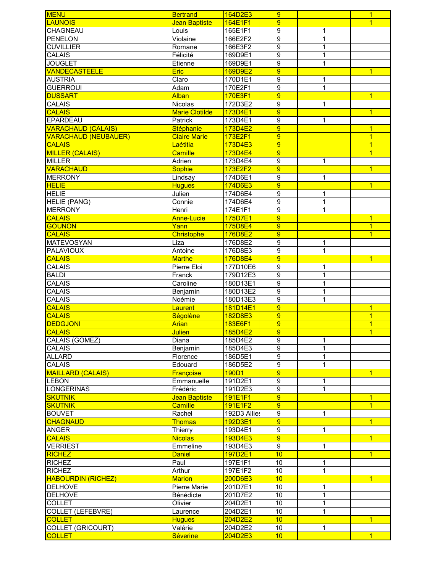| <b>MENU</b>                 | <b>Bertrand</b>       | 164D2E3      | 9                |              | $\overline{1}$ |
|-----------------------------|-----------------------|--------------|------------------|--------------|----------------|
| <b>LAUNOIS</b>              | Jean Baptiste         | 164E1F1      | 9                |              | $\overline{1}$ |
| CHAGNEAU                    | Louis                 | 165E1F1      | $\overline{9}$   | 1            |                |
| <b>PENELON</b>              | Violaine              | 166E2F2      | $\overline{9}$   | 1            |                |
| <b>CUVILLIER</b>            | Romane                | 166E3F2      | $\overline{9}$   | 1            |                |
| <b>CALAIS</b>               | Félicité              | 169D9E1      | $\overline{9}$   | 1            |                |
| <b>JOUGLET</b>              | Etienne               | 169D9E1      | $\boldsymbol{9}$ | 1            |                |
| <b>VANDECASTEELE</b>        | Eric                  | 169D9E2      | $\overline{9}$   |              | $\overline{1}$ |
| <b>AUSTRIA</b>              | Claro                 | 170D1E1      | $\boldsymbol{9}$ | 1            |                |
| <b>GUERROUI</b>             | Adam                  | 170E2F1      | 9                | 1            |                |
| <b>DUSSART</b>              | <b>Alban</b>          | 170E3F1      | $\overline{9}$   |              | $\overline{1}$ |
| <b>CALAIS</b>               | Nicolas               | 172D3E2      | $\overline{9}$   | 1            |                |
| <b>CALAIS</b>               | <b>Marie Clotilde</b> | 173D4E1      | $\overline{9}$   |              | $\overline{1}$ |
| <b>EPARDEAU</b>             | Patrick               | 173D4E1      | $\overline{9}$   | 1            |                |
|                             |                       | 173D4E2      | $\overline{9}$   |              | $\overline{1}$ |
| <b>VARACHAUD (CALAIS)</b>   | Stéphanie             |              |                  |              |                |
| <b>VARACHAUD (NEUBAUER)</b> | <b>Claire Marie</b>   | 173E2F1      | $\overline{9}$   |              | $\overline{1}$ |
| <b>CALAIS</b>               | Laétitia              | 173D4E3      | $\overline{9}$   |              | $\overline{1}$ |
| <b>MILLER (CALAIS)</b>      | <b>Camille</b>        | 173D4E4      | $\overline{9}$   |              | $\overline{1}$ |
| <b>MILLER</b>               | Adrien                | 173D4E4      | $\overline{9}$   | $\mathbf{1}$ |                |
| <b>VARACHAUD</b>            | <b>Sophie</b>         | 173E2F2      | $\overline{9}$   |              | $\overline{1}$ |
| <b>MERRONY</b>              | Lindsay               | 174D6E1      | $\overline{9}$   | $\mathbf{1}$ |                |
| <b>HELIE</b>                | <b>Hugues</b>         | 174D6E3      | 9                |              | $\overline{1}$ |
| <b>HELIE</b>                | Julien                | 174D6E4      | $\boldsymbol{9}$ | 1            |                |
| <b>HELIE (PANG)</b>         | Connie                | 174D6E4      | $\overline{9}$   | 1            |                |
| <b>MERRONY</b>              | Henri                 | 174E1F1      | $\overline{9}$   | 1            |                |
| <b>CALAIS</b>               | <b>Anne-Lucie</b>     | 175D7E1      | $\overline{9}$   |              | $\overline{1}$ |
| <b>GOUNON</b>               | Yann                  | 175D8E4      | 9                |              | $\overline{1}$ |
| <b>CALAIS</b>               | Christophe            | 176D8E2      | 9                |              | $\overline{1}$ |
| <b>MATEVOSYAN</b>           | Liza                  | 176D8E2      | 9                | 1            |                |
| <b>PALAVIOUX</b>            | Antoine               | 176D8E3      | $\overline{9}$   | 1            |                |
| <b>CALAIS</b>               | <b>Marthe</b>         | 176D8E4      | 9                |              | $\overline{1}$ |
| CALAIS                      | Pierre Eloi           | 177D10E6     | $\boldsymbol{9}$ | 1            |                |
| <b>BALDI</b>                | Franck                | 179D12E3     | $\boldsymbol{9}$ | 1            |                |
| CALAIS                      | Caroline              | 180D13E1     | $\overline{9}$   | 1            |                |
| <b>CALAIS</b>               | Benjamin              | 180D13E2     | $\overline{9}$   | 1            |                |
| <b>CALAIS</b>               | Noémie                | 180D13E3     | $\overline{9}$   | 1            |                |
| <b>CALAIS</b>               | Laurent               | 181D14E1     | $\overline{9}$   |              | $\overline{1}$ |
| <b>CALAIS</b>               | Ségolène              | 182D8E3      | $\overline{9}$   |              | $\overline{1}$ |
| <b>DEDGJONI</b>             | <b>Arian</b>          | 183E6F1      | 9                |              | $\overline{1}$ |
| <b>CALAIS</b>               |                       | 185D4E2      | $\overline{9}$   |              | $\overline{1}$ |
|                             | <b>Julien</b>         |              |                  |              |                |
| CALAIS (GOMEZ)              | Diana                 | 185D4E2      | $\boldsymbol{9}$ | 1            |                |
| CALAIS                      | Benjamin              | 185D4E3      | $\overline{9}$   | $\mathbf 1$  |                |
| <b>ALLARD</b>               | Florence              | 186D5E1      | $\overline{9}$   | $\mathbf 1$  |                |
| CALAIS                      | Edouard               | 186D5E2      | 9                | $\mathbf{1}$ |                |
| <b>MAILLARD (CALAIS)</b>    | Françoise             | 190D1        | 9                |              | $\overline{1}$ |
| <b>LEBON</b>                | Emmanuelle            | 191D2E1      | $\boldsymbol{9}$ | $\mathbf 1$  |                |
| <b>LONGERINAS</b>           | Frédéric              | 191D2E3      | $\boldsymbol{9}$ | 1            |                |
| <b>SKUTNIK</b>              | Jean Baptiste         | 191E1F1      | 9                |              | $\overline{1}$ |
| <b>SKUTNIK</b>              | Camille               | 191E1F2      | $\overline{9}$   |              | $\overline{1}$ |
| <b>BOUVET</b>               | Rachel                | 192D3 Allies | 9                | 1            |                |
| <b>CHAGNAUD</b>             | <b>Thomas</b>         | 192D3E1      | $\overline{9}$   |              | $\overline{1}$ |
| <b>ANGER</b>                | Thierry               | 193D4E1      | 9                | 1            |                |
| <b>CALAIS</b>               | <b>Nicolas</b>        | 193D4E3      | 9                |              | $\overline{1}$ |
| <b>VERRIEST</b>             | Emmeline              | 193D4E3      | 9                | $\mathbf 1$  |                |
| <b>RICHEZ</b>               | <b>Daniel</b>         | 197D2E1      | 10               |              | $\overline{1}$ |
| <b>RICHEZ</b>               | Paul                  | 197E1F1      | 10               | 1            |                |
| <b>RICHEZ</b>               | Arthur                | 197E1F2      | 10               | 1            |                |
| <b>HABOURDIN (RICHEZ)</b>   | <b>Marion</b>         | 200D6E3      | 10               |              | $\overline{1}$ |
| <b>DELHOVE</b>              | Pierre Marie          | 201D7E1      | 10               | 1            |                |
| <b>DELHOVE</b>              | Bénédicte             | 201D7E2      | 10               | 1            |                |
| <b>COLLET</b>               | Olivier               | 204D2E1      | $\overline{10}$  | 1            |                |
| <b>COLLET (LEFEBVRE)</b>    | Laurence              | 204D2E1      | $\overline{10}$  | 1            |                |
| <b>COLLET</b>               | <b>Hugues</b>         | 204D2E2      | 10               |              | $\overline{1}$ |
| <b>COLLET (GRICOURT)</b>    | Valérie               | 204D2E2      | 10               | 1            |                |
| <b>COLLET</b>               |                       |              |                  |              |                |
|                             | <b>Séverine</b>       | 204D2E3      | 10               |              | $\overline{1}$ |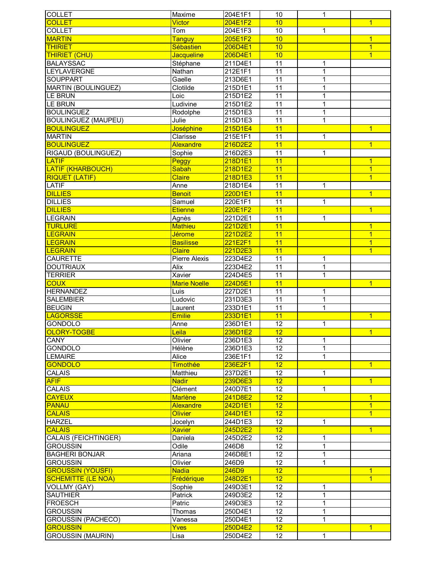| <b>COLLET</b>                               | Maxime              | 204E1F1            | 10                    | $\mathbf{1}$ |                |
|---------------------------------------------|---------------------|--------------------|-----------------------|--------------|----------------|
| <b>COLLET</b>                               | Victor              | 204E1F2            | 10                    |              | $\overline{1}$ |
| <b>COLLET</b>                               | Tom                 | 204E1F3            | $\overline{10}$       | $\mathbf{1}$ |                |
| <b>MARTIN</b>                               | <b>Tanguy</b>       | 205E1F2            | 10                    |              | $\overline{1}$ |
| <b>THIRIET</b>                              | Sébastien           | 206D4E1            | 10                    |              | $\overline{1}$ |
| <b>THIRIET (CHU)</b>                        | Jacqueline          | 206D4E1            | 10                    |              | $\overline{1}$ |
| <b>BALAYSSAC</b>                            |                     |                    | 11                    |              |                |
|                                             | Stéphane            | 211D4E1            |                       | 1            |                |
| LEYLAVERGNE                                 | Nathan              | 212E1F1            | 11                    | $\mathbf{1}$ |                |
| <b>SOUPPART</b>                             | Gaelle              | 213D6E1            | $\overline{11}$       | $\mathbf{1}$ |                |
| <b>MARTIN (BOULINGUEZ)</b>                  | Clotilde            | 215D1E1            | 11                    | $\mathbf{1}$ |                |
| LE BRUN                                     | Loic                | 215D1E2            | $\overline{11}$       | 1            |                |
| <b>LE BRUN</b>                              | Ludivine            | 215D1E2            | $\overline{11}$       | 1            |                |
| <b>BOULINGUEZ</b>                           | Rodolphe            | 215D1E3            | 11                    | 1            |                |
| <b>BOULINGUEZ (MAUPEU)</b>                  | Julie               | 215D1E3            | $\overline{11}$       | 1            |                |
| <b>BOULINGUEZ</b>                           | Joséphine           | 215D1E4            | 11                    |              | $\overline{1}$ |
| <b>MARTIN</b>                               | Clarisse            | 215E1F1            | 11                    | 1            |                |
| <b>BOULINGUEZ</b>                           | <b>Alexandre</b>    | 216D2E2            | 11                    |              | $\overline{1}$ |
| RIGAUD (BOULINGUEZ)                         | Sophie              | 216D2E3            | $\overline{11}$       | 1            |                |
| <b>LATIF</b>                                |                     |                    | 11                    |              | $\overline{1}$ |
|                                             | Peggy               | 218D1E1            |                       |              |                |
| <b>LATIF (KHARBOUCH)</b>                    | Sabah               | 218D1E2            | 11                    |              | $\overline{1}$ |
| <b>RIQUET (LATIF)</b>                       | <b>Claire</b>       | 218D1E3            | 11                    |              | $\overline{1}$ |
| LATIF                                       | Anne                | 218D1E4            | 11                    | 1            |                |
| <b>DILLIES</b>                              | <b>Benoit</b>       | 220D1E1            | 11                    |              | $\overline{1}$ |
| <b>DILLIES</b>                              | Samuel              | 220E1F1            | $\overline{11}$       | $\mathbf 1$  |                |
| <b>DILLIES</b>                              | <b>Etienne</b>      | 220E1F2            | 11                    |              | $\overline{1}$ |
| <b>LEGRAIN</b>                              | Agnès               | 221D2E1            | 11                    | 1            |                |
| <b>TURLURE</b>                              | <b>Mathieu</b>      | 221D2E1            | 11                    |              | $\overline{1}$ |
| <b>LEGRAIN</b>                              | <b>Jérome</b>       | 221D2E2            | 11                    |              | $\overline{1}$ |
| <b>LEGRAIN</b>                              | <b>Basilisse</b>    | 221E2F1            | 11                    |              | $\overline{1}$ |
| <b>LEGRAIN</b>                              | <b>Claire</b>       | 221D2E3            | 11                    |              | $\overline{1}$ |
|                                             |                     |                    |                       |              |                |
| <b>CAURETTE</b>                             | Pierre Alexis       | 223D4E2            | 11                    | 1            |                |
| <b>DOUTRIAUX</b>                            | Alix                | 223D4E2            | $\overline{11}$       | $\mathbf 1$  |                |
|                                             |                     |                    |                       |              |                |
| <b>TERRIER</b>                              | Xavier              | 224D4E5            | 11                    | $\mathbf{1}$ |                |
| <b>COUX</b>                                 | <b>Marie Noelle</b> | 224D5E1            | 11                    |              | $\overline{1}$ |
| <b>HERNANDEZ</b>                            | Luis                | 227D2E1            | 11                    | $\mathbf 1$  |                |
| <b>SALEMBIER</b>                            | Ludovic             | 231D3E3            | $\overline{11}$       | $\mathbf 1$  |                |
| <b>BEUGIN</b>                               | Laurent             | 233D1E1            | $\overline{11}$       | 1            |                |
|                                             | <b>Emilie</b>       |                    |                       |              |                |
| <b>LAGORSSE</b>                             |                     | 233D1E1            | 11                    |              | $\overline{1}$ |
| <b>GONDOLO</b>                              | Anne                | 236D1E1            | 12                    | 1            |                |
| OLORY-TOGBE                                 | Leila               | 236D1E2            | 12                    |              | $\mathbf{1}$   |
| <b>CANY</b>                                 | Olivier             | 236D1E3            | 12                    | 1            |                |
| <b>GONDOLO</b>                              | Hélène              | 236D1E3            | 12                    | 1            |                |
| <b>LEMAIRE</b>                              | Alice               | 236E1F1            | $\overline{12}$       | 1            |                |
| <b>GONDOLO</b>                              | <b>Timothée</b>     | 236E2F1            | 12                    |              | $\overline{1}$ |
| <b>CALAIS</b>                               | Matthieu            | 237D2E1            | 12                    | 1            |                |
| <b>AFIF</b>                                 | <b>Nadir</b>        | 239D6E3            | 12                    |              | $\overline{1}$ |
| <b>CALAIS</b>                               | Clément             | 240D7E1            | 12                    | $\mathbf{1}$ |                |
| <b>CAYEUX</b>                               | <b>Marlène</b>      | 241D8E2            | 12                    |              | $\mathbf{1}$   |
| <b>PANAU</b>                                | <b>Alexandre</b>    | 242D1E1            | 12                    |              | $\overline{1}$ |
|                                             | <b>Olivier</b>      |                    | 12                    |              | $\overline{1}$ |
| <b>CALAIS</b>                               |                     | 244D1E1            |                       |              |                |
| <b>HARZEL</b>                               | Jocelyn             | 244D1E3            | 12                    | 1            |                |
| <b>CALAIS</b>                               | <b>Xavier</b>       | 245D2E2            | $\overline{12}$       |              | $\overline{1}$ |
| CALAIS (FEICHTINGER)                        | Daniela             | 245D2E2            | 12                    | 1            |                |
| <b>GROUSSIN</b>                             | Odile               | 246D8              | 12                    | 1            |                |
| <b>BAGHERI BONJAR</b>                       | Ariana              | 246D8E1            | 12                    | 1            |                |
| <b>GROUSSIN</b>                             | Olivier             | 246D9              | 12                    | 1            |                |
| <b>GROUSSIN (YOUSFI)</b>                    | <b>Nadia</b>        | 246D9              | 12                    |              | $\overline{1}$ |
| <b>SCHEMITTE (LE NOA)</b>                   | Frédérique          | 248D2E1            | 12                    |              | $\overline{1}$ |
| VOLLMY (GAY)                                | Sophie              | 249D3E1            | 12                    | 1            |                |
| <b>SAUTHIER</b>                             | Patrick             | 249D3E2            | 12                    | 1            |                |
| <b>FROESCH</b>                              | Patric              | 249D3E3            | 12                    | 1            |                |
| <b>GROUSSIN</b>                             | Thomas              | 250D4E1            | 12                    | 1            |                |
|                                             | Vanessa             |                    | 12                    | 1            |                |
| <b>GROUSSIN (PACHECO)</b>                   |                     | 250D4E1            |                       |              |                |
| <b>GROUSSIN</b><br><b>GROUSSIN (MAURIN)</b> | <b>Yves</b><br>Lisa | 250D4E2<br>250D4E2 | 12<br>12 <sup>°</sup> | 1            | $\overline{1}$ |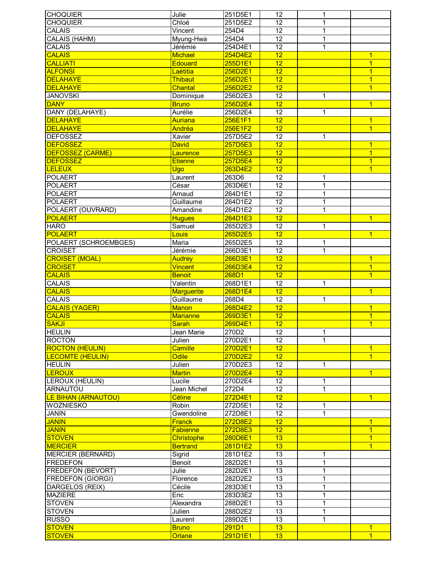| <b>CHOQUIER</b>            | Julie             | 251D5E1 | 12              | 1              |                |
|----------------------------|-------------------|---------|-----------------|----------------|----------------|
| <b>CHOQUIER</b>            | Chloé             | 251D5E2 | $\overline{12}$ | 1              |                |
| <b>CALAIS</b>              | Vincent           | 254D4   | 12              | 1              |                |
| <b>CALAIS (HAHM)</b>       | Myung-Hwa         | 254D4   | $\overline{12}$ | 1              |                |
| <b>CALAIS</b>              | Jérémie           | 254D4E1 | $\overline{12}$ | 1              |                |
| <b>CALAIS</b>              | <b>Michael</b>    | 254D4E2 | 12              |                | $\mathbf{1}$   |
| <b>CALLIATI</b>            | Edouard           | 255D1E1 | 12              |                | $\overline{1}$ |
| <b>ALFONSI</b>             | Laétitia          | 256D2E1 | 12              |                | $\overline{1}$ |
| <b>DELAHAYE</b>            | <b>Thibaut</b>    | 256D2E1 | 12              |                | $\overline{1}$ |
| <b>DELAHAYE</b>            | <b>Chantal</b>    | 256D2E2 | $\overline{12}$ |                | $\overline{1}$ |
| <b>JANOVSKI</b>            | Dominique         | 256D2E3 | 12              | 1              |                |
| <b>DANY</b>                | <b>Bruno</b>      | 256D2E4 | 12              |                | $\overline{1}$ |
| DANY (DELAHAYE)            | Aurélie           | 256D2E4 | 12              | 1              |                |
| <b>DELAHAYE</b>            | Auriana           | 256E1F1 | $\overline{12}$ |                | $\overline{1}$ |
|                            |                   |         |                 |                |                |
| <b>DELAHAYE</b>            | Andréa            | 256E1F2 | 12              |                | $\overline{1}$ |
| <b>DEFOSSEZ</b>            | Xavier            | 257D5E2 | 12              | 1              |                |
| <b>DEFOSSEZ</b>            | <b>David</b>      | 257D5E3 | $\overline{12}$ |                | 1              |
| <b>DEFOSSEZ (CARME)</b>    | Laurence          | 257D5E3 | 12              |                | $\overline{1}$ |
| <b>DEFOSSEZ</b>            | <b>Etienne</b>    | 257D5E4 | 12              |                | $\overline{1}$ |
| <b>LELEUX</b>              | Ugo               | 263D4E2 | 12              |                | $\overline{1}$ |
| <b>POLAERT</b>             | Laurent           | 263D6   | 12              | 1              |                |
| <b>POLAERT</b>             | César             | 263D6E1 | 12              | 1              |                |
| <b>POLAERT</b>             | Arnaud            | 264D1E1 | 12              | 1              |                |
| <b>POLAERT</b>             | Guillaume         | 264D1E2 | $\overline{12}$ | 1              |                |
| POLAERT (OUVRARD)          | Amandine          | 264D1E2 | $\overline{12}$ | $\overline{1}$ |                |
| <b>POLAERT</b>             | <b>Hugues</b>     | 264D1E3 | $\overline{12}$ |                | $\overline{1}$ |
| <b>HARO</b>                |                   | 265D2E3 | $\overline{12}$ | $\overline{1}$ |                |
|                            | Samuel            |         |                 |                |                |
| <b>POLAERT</b>             | Louis             | 265D2E5 | 12              |                | $\overline{1}$ |
| POLAERT (SCHROEMBGES)      | Maria             | 265D2E5 | $\overline{12}$ | 1              |                |
| <b>CROISET</b>             | Jérémie           | 266D3E1 | $\overline{12}$ | 1              |                |
| <b>CROISET (MOAL)</b>      | <b>Audrey</b>     | 266D3E1 | $\overline{12}$ |                | $\overline{1}$ |
| <b>CROISET</b>             | <b>Vincent</b>    | 266D3E4 | 12              |                | $\overline{1}$ |
| <b>CALAIS</b>              | <b>Benoit</b>     | 268D1   | 12              |                | $\overline{1}$ |
| CALAIS                     | Valentin          | 268D1E1 | 12              | 1              |                |
| <b>CALAIS</b>              | <b>Marguerite</b> | 268D1E4 | $\overline{12}$ |                | $\overline{1}$ |
| <b>CALAIS</b>              | Guillaume         | 268D4   | $\overline{12}$ | 1              |                |
| <b>CALAIS (YAGER)</b>      | <b>Manon</b>      | 268D4E2 | 12              |                | $\overline{1}$ |
| <b>CALAIS</b>              | <b>Marianne</b>   | 269D3E1 | 12              |                | $\overline{1}$ |
| <b>SAKJI</b>               | <b>Sarah</b>      | 269D4E1 | 12              |                | $\overline{1}$ |
| <b>HEULIN</b>              | Jean Marie        | 270D2   | $\overline{12}$ | 1              |                |
| <b>ROCTON</b>              | Julien            | 270D2E1 | 12              | 1              |                |
|                            |                   |         | $\overline{12}$ |                |                |
| <b>ROCTON (HEULIN)</b>     | Camille           | 270D2E1 |                 |                | $\overline{1}$ |
| <b>LECOMTE (HEULIN)</b>    | <b>Odile</b>      | 270D2E2 | 12              |                | $\overline{1}$ |
| <b>HEULIN</b>              | Julien            | 270D2E3 | 12              | 1              |                |
| <b>LEROUX</b>              | <b>Martin</b>     | 270D2E4 | 12              |                | $\overline{1}$ |
| LEROUX (HEULIN)            | Lucile            | 270D2E4 | 12              | 1              |                |
| <b>ARNAUTOU</b>            | Jean Michel       | 272D4   | 12              | 1              |                |
| <b>LE BIHAN (ARNAUTOU)</b> | Céline            | 272D4E1 | 12              |                | $\overline{1}$ |
| WOZNIESKO                  | Robin             | 272D5E1 | 12              | 1              |                |
| <b>JANIN</b>               | Gwendoline        | 272D8E1 | $\overline{12}$ | 1              |                |
| <b>JANIN</b>               | <b>Franck</b>     | 272D8E2 | 12              |                | $\overline{1}$ |
| <b>JANIN</b>               | Fabienne          | 272D8E3 | $\overline{12}$ |                | $\overline{1}$ |
| <b>STOVEN</b>              | <b>Christophe</b> | 280D6E1 | 13              |                | $\overline{1}$ |
| <b>MERCIER</b>             | <b>Bertrand</b>   | 281D1E2 | 13              |                | $\overline{1}$ |
| <b>MERCIER (BERNARD)</b>   | Sigrid            | 281D1E2 | 13              | 1              |                |
| <b>FREDEFON</b>            | Benoit            | 282D2E1 | $\overline{13}$ | 1              |                |
| <b>FREDEFON (BEVORT)</b>   |                   |         |                 |                |                |
|                            | Julie             | 282D2E1 | 13              | 1              |                |
| <b>FREDEFON (GIORGI)</b>   | Florence          | 282D2E2 | 13              | 1              |                |
| DARGELOS (REIX)            | Cécile            | 283D3E1 | 13              | 1              |                |
| <b>MAZIERE</b>             | Eric              | 283D3E2 | 13              | $\mathbf{1}$   |                |
| <b>STOVEN</b>              | Alexandra         | 288D2E1 | 13              | 1              |                |
| <b>STOVEN</b>              | Julien            | 288D2E2 | 13              | 1              |                |
| <b>RUSSO</b>               |                   |         | 13              |                |                |
|                            | Laurent           | 289D2E1 |                 | 1              |                |
| <b>STOVEN</b>              | <b>Bruno</b>      | 291D1   | 13              |                | 1              |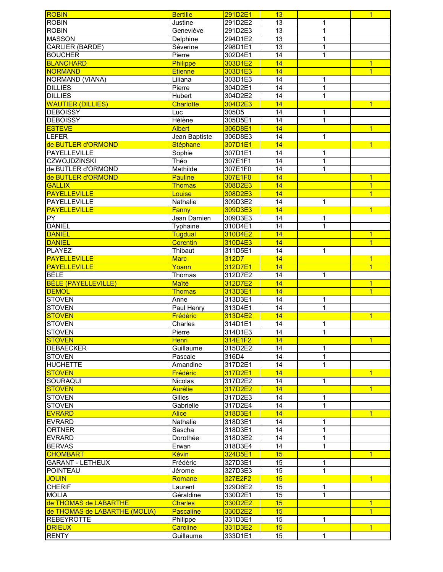| <b>ROBIN</b>                  | <b>Bertille</b>  | 291D2E1 | 13              |                | $\overline{1}$ |
|-------------------------------|------------------|---------|-----------------|----------------|----------------|
| <b>ROBIN</b>                  | Justine          | 291D2E2 | 13              | 1              |                |
| <b>ROBIN</b>                  | Geneviève        | 291D2E3 | $\overline{13}$ | $\overline{1}$ |                |
| <b>MASSON</b>                 | Delphine         | 294D1E2 | $\overline{13}$ | 1              |                |
| <b>CARLIER (BARDE)</b>        | Séverine         | 298D1E1 | $\overline{13}$ | 1              |                |
| <b>BOUCHER</b>                | Pierre           | 302D4E1 | $\overline{14}$ | 1              |                |
| <b>BLANCHARD</b>              | Philippe         | 303D1E2 | 14              |                | $\overline{1}$ |
| <b>NORMAND</b>                | <b>Etienne</b>   | 303D1E3 | 14              |                | $\overline{1}$ |
| NORMAND (VIANA)               | Liliana          | 303D1E3 | 14              | 1              |                |
| <b>DILLIES</b>                | Pierre           | 304D2E1 | 14              | $\mathbf 1$    |                |
| <b>DILLIES</b>                | Hubert           | 304D2E2 | 14              | $\overline{1}$ |                |
| <b>WAUTIER (DILLIES)</b>      | <b>Charlotte</b> | 304D2E3 | 14              |                | $\overline{1}$ |
| <b>DEBOISSY</b>               | Luc              | 305D5   | 14              | 1              |                |
| <b>DEBOISSY</b>               | Hélène           | 305D5E1 | 14              | $\overline{1}$ |                |
| <b>ESTEVE</b>                 | <b>Albert</b>    | 306D8E1 | 14              |                | $\overline{1}$ |
| <b>LEFER</b>                  | Jean Baptiste    | 306D8E3 | $\overline{14}$ | $\mathbf 1$    |                |
| de BUTLER d'ORMOND            | Stéphane         | 307D1E1 | 14              |                | $\overline{1}$ |
| <b>PAYELLEVILLE</b>           | Sophie           | 307D1E1 | $\overline{14}$ | $\mathbf 1$    |                |
| <b>CZWOJDZINSKI</b>           | Théo             | 307E1F1 | $\overline{14}$ | $\mathbf{1}$   |                |
| de BUTLER d'ORMOND            | Mathilde         | 307E1F0 | 14              | $\mathbf{1}$   |                |
| de BUTLER d'ORMOND            | <b>Pauline</b>   | 307E1F0 | 14              |                | $\overline{1}$ |
| <b>GALLIX</b>                 | <b>Thomas</b>    | 308D2E3 | 14              |                | $\overline{1}$ |
| <b>PAYELLEVILLE</b>           | Louise           | 308D2E3 | 14              |                | $\overline{1}$ |
| PAYELLEVILLE                  | Nathalie         | 309D3E2 | 14              | 1              |                |
| <b>PAYELLEVILLE</b>           | Fanny            | 309D3E3 | 14              |                | $\overline{1}$ |
| $\overline{PY}$               | Jean Damien      | 309D3E3 | 14              | 1              |                |
| <b>DANIEL</b>                 | Typhaine         | 310D4E1 | $\overline{14}$ | 1              |                |
| <b>DANIEL</b>                 | Tugdual          | 310D4E2 | 14              |                | $\overline{1}$ |
| <b>DANIEL</b>                 | <b>Corentin</b>  | 310D4E3 | 14              |                | $\overline{1}$ |
| <b>PLAYEZ</b>                 | Thibaut          | 311D5E1 | 14              | 1              |                |
| <b>PAYELLEVILLE</b>           | <b>Marc</b>      | 312D7   | 14              |                | $\overline{1}$ |
| <b>PAYELLEVILLE</b>           | Yoann            | 312D7E1 | 14              |                | $\overline{1}$ |
| <b>BÈLE</b>                   | Thomas           | 312D7E2 | 14              | 1              |                |
| <b>BÈLE (PAYELLEVILLE)</b>    | Maïté            | 312D7E2 | 14              |                | $\overline{1}$ |
| <b>DEMOL</b>                  | <b>Thomas</b>    | 313D3E1 | 14              |                | $\overline{1}$ |
| <b>STOVEN</b>                 | Anne             | 313D3E1 | $\overline{14}$ | 1              |                |
| <b>STOVEN</b>                 | Paul Henry       | 313D4E1 | 14              | $\overline{1}$ |                |
| <b>STOVEN</b>                 | Frédéric         | 313D4E2 | 14              |                | $\overline{1}$ |
| <b>STOVEN</b>                 | Charles          | 314D1E1 | 14              | 1              |                |
| <b>STOVEN</b>                 | Pierre           | 314D1E3 | $\overline{14}$ | 1              |                |
| <b>STOVEN</b>                 | <b>Henri</b>     | 314E1F2 | 14              |                | $\overline{1}$ |
| <b>DEBAECKER</b>              | Guillaume        | 315D2E2 | 14              | 1              |                |
| <b>STOVEN</b>                 | Pascale          | 316D4   | $\overline{14}$ | $\overline{1}$ |                |
| <b>HUCHETTE</b>               | Amandine         | 317D2E1 | 14              | $\mathbf{1}$   |                |
| <b>STOVEN</b>                 | Frédéric         | 317D2E1 | 14              |                | $\overline{1}$ |
| SOURAQUI                      | <b>Nicolas</b>   | 317D2E2 | 14              | $\mathbf{1}$   |                |
| <b>STOVEN</b>                 | <b>Aurélie</b>   | 317D2E2 | 14              |                | $\overline{1}$ |
| <b>STOVEN</b>                 | Gilles           | 317D2E3 | 14              | 1              |                |
| <b>STOVEN</b>                 | Gabrielle        | 317D2E4 | 14              | 1              |                |
| <b>EVRARD</b>                 | <b>Alice</b>     | 318D3E1 | 14              |                | $\overline{1}$ |
| <b>EVRARD</b>                 | Nathalie         | 318D3E1 | 14              | 1              |                |
| <b>ORTNER</b>                 | Sascha           | 318D3E1 | 14              | 1              |                |
| <b>EVRARD</b>                 | Dorothée         | 318D3E2 | 14              | 1              |                |
| <b>BERVAS</b>                 | Erwan            | 318D3E4 | 14              | 1              |                |
| <b>CHOMBART</b>               | Kévin            | 324D5E1 | 15              |                | $\overline{1}$ |
| <b>GARANT - LETHEUX</b>       | Frédéric         | 327D3E1 | 15              | 1              |                |
| <b>POINTEAU</b>               | Jérome           | 327D3E3 | 15              | $\mathbf 1$    |                |
| <b>JOUIN</b>                  | Romane           | 327E2F2 | 15              |                | $\overline{1}$ |
| <b>CHERIF</b>                 | Laurent          | 329D6E2 | 15              | 1              |                |
| <b>MOLIA</b>                  | Géraldine        | 330D2E1 | 15              | 1              |                |
| de THOMAS de LABARTHE         | <b>Charles</b>   | 330D2E2 | 15              |                | $\overline{1}$ |
| de THOMAS de LABARTHE (MOLIA) | <b>Pascaline</b> | 330D2E2 | 15              |                | $\overline{1}$ |
| <b>REBEYROTTE</b>             | Philippe         | 331D3E1 | 15              | 1              |                |
| <b>DRIEUX</b>                 | <b>Caroline</b>  | 331D3E2 | 15              |                | $\overline{1}$ |
| <b>RENTY</b>                  | Guillaume        | 333D1E1 | 15              | 1              |                |
|                               |                  |         |                 |                |                |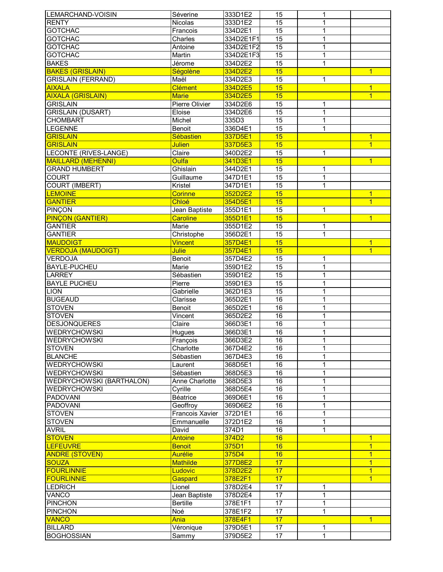| LEMARCHAND-VOISIN               | Séverine              | 333D1E2   | 15              | 1            |                |
|---------------------------------|-----------------------|-----------|-----------------|--------------|----------------|
| <b>RENTY</b>                    | Nicolas               | 333D1E2   | 15              | 1            |                |
| <b>GOTCHAC</b>                  | Francois              | 334D2E1   | $\overline{15}$ | 1            |                |
| <b>GOTCHAC</b>                  | Charles               | 334D2E1F1 | $\overline{15}$ | 1            |                |
| <b>GOTCHAC</b>                  | Antoine               | 334D2E1F2 | $\overline{15}$ | 1            |                |
| <b>GOTCHAC</b>                  | Martin                | 334D2E1F3 | 15              | 1            |                |
| <b>BAKES</b>                    | Jérome                | 334D2E2   | 15              | 1            |                |
| <b>BAKES (GRISLAIN)</b>         | Ségolène              | 334D2E2   | 15              |              | $\overline{1}$ |
| <b>GRISLAIN (FERRAND)</b>       | Maël                  | 334D2E3   | 15              | 1            |                |
| <b>AIXALA</b>                   | Clément               | 334D2E5   | 15              |              | $\overline{1}$ |
| <b>AIXALA (GRISLAIN)</b>        | <b>Marie</b>          | 334D2E5   | 15              |              | $\overline{1}$ |
| <b>GRISLAIN</b>                 | <b>Pierre Olivier</b> |           | 15              | 1            |                |
|                                 |                       | 334D2E6   |                 |              |                |
| <b>GRISLAIN (DUSART)</b>        | Eloise                | 334D2E6   | 15              | 1            |                |
| <b>CHOMBART</b>                 | Michel                | 335D3     | $\overline{15}$ | 1            |                |
| <b>LEGENNE</b>                  | <b>Benoit</b>         | 336D4E1   | $\overline{15}$ | 1            |                |
| <b>GRISLAIN</b>                 | Sébastien             | 337D5E1   | 15              |              | $\overline{1}$ |
| <b>GRISLAIN</b>                 | <b>Julien</b>         | 337D5E3   | 15              |              | $\overline{1}$ |
| <b>LECONTE (RIVES-LANGE)</b>    | Claire                | 340D2E2   | 15              | 1            |                |
| <b>MAILLARD (MEHENNI)</b>       | <b>Oulfa</b>          | 341D3E1   | 15              |              | $\overline{1}$ |
| <b>GRAND HUMBERT</b>            | Ghislain              | 344D2E1   | 15              | 1            |                |
| <b>COURT</b>                    | Guillaume             | 347D1E1   | 15              | 1            |                |
| COURT (IMBERT)                  | Kristel               | 347D1E1   | 15              | 1            |                |
| <b>LEMOINE</b>                  | <b>Corinne</b>        | 352D2E2   | 15              |              | $\overline{1}$ |
| <b>GANTIER</b>                  | Chloé                 | 354D5E1   | 15              |              | $\overline{1}$ |
| <b>PINÇON</b>                   | Jean Baptiste         | 355D1E1   | $\overline{15}$ | $\mathbf 1$  |                |
| <b>PINÇON (GANTIER)</b>         | <b>Caroline</b>       | 355D1E1   | 15              |              | $\overline{1}$ |
| <b>GANTIER</b>                  | Marie                 | 355D1E2   | 15              | 1            |                |
| <b>GANTIER</b>                  | Christophe            | 356D2E1   | $\overline{15}$ | 1            |                |
| <b>MAUDOIGT</b>                 | <b>Vincent</b>        | 357D4E1   | 15              |              | $\overline{1}$ |
| <b>VERDOJA (MAUDOIGT)</b>       | <b>Julie</b>          | 357D4E1   | 15              |              | $\overline{1}$ |
| VERDOJA                         | Benoit                | 357D4E2   | 15              | 1            |                |
| <b>BAYLE-PUCHEU</b>             |                       |           | 15              |              |                |
|                                 | Marie                 | 359D1E2   |                 | $\mathbf 1$  |                |
| <b>LARREY</b>                   | Sébastien             | 359D1E2   | $\overline{15}$ | 1            |                |
| <b>BAYLE PUCHEU</b>             | Pierre                | 359D1E3   | 15              | 1            |                |
| <b>LION</b>                     | Gabrielle             | 362D1E3   | 15              | 1            |                |
| <b>BUGEAUD</b>                  | Clarisse              | 365D2E1   | 16              | 1            |                |
| <b>STOVEN</b>                   | Benoit                | 365D2E1   | 16              |              |                |
| <b>STOVEN</b>                   | Vincent               | 365D2E2   | 16              | 1            |                |
| <b>DESJONQUERES</b>             | Claire                | 366D3E1   | 16              |              |                |
| <b>WEDRYCHOWSKI</b>             | Hugues                | 366D3E1   | $\overline{16}$ | 1            |                |
| <b>WEDRYCHOWSKI</b>             | François              | 366D3E2   | 16              | 1            |                |
| <b>STOVEN</b>                   | Charlotte             | 367D4E2   | 16              | 1            |                |
| <b>BLANCHE</b>                  | Sébastien             | 367D4E3   | 16              | 1            |                |
| <b>WEDRYCHOWSKI</b>             | Laurent               | 368D5E1   | 16              | 1            |                |
| <b>WEDRYCHOWSKI</b>             | Sébastien             | 368D5E3   | 16              | 1            |                |
| <b>WEDRYCHOWSKI (BARTHALON)</b> | Anne Charlotte        | 368D5E3   | 16              | 1            |                |
| <b>WEDRYCHOWSKI</b>             | Cyrille               | 368D5E4   | 16              | 1            |                |
| <b>PADOVANI</b>                 | Béatrice              | 369D6E1   | 16              | $\mathbf 1$  |                |
| <b>PADOVANI</b>                 | Geoffroy              | 369D6E2   | $\overline{16}$ | 1            |                |
| <b>STOVEN</b>                   | Francois Xavier       | 372D1E1   | 16              | 1            |                |
| <b>STOVEN</b>                   | Emmanuelle            | 372D1E2   | $\overline{16}$ | 1            |                |
| <b>AVRIL</b>                    | David                 | 374D1     | 16              | $\mathbf{1}$ |                |
| <b>STOVEN</b>                   | Antoine               | 374D2     | 16              |              | $\overline{1}$ |
| <b>LEFEUVRE</b>                 | <b>Benoit</b>         | 375D1     | 16              |              | $\mathbf{1}$   |
| <b>ANDRE (STOVEN)</b>           | <b>Aurélie</b>        | 375D4     | 16              |              | $\overline{1}$ |
| <b>SOUZA</b>                    | <b>Mathilde</b>       | 377D8E2   | 17              |              | $\overline{1}$ |
| <b>FOURLINNIE</b>               | Ludovic               | 378D2E2   | 17              |              | $\overline{1}$ |
| <b>FOURLINNIE</b>               | Gaspard               | 378E2F1   | 17              |              | $\overline{1}$ |
| <b>LEDRICH</b>                  | Lionel                |           | 17              | 1            |                |
|                                 |                       | 378D2E4   | 17              |              |                |
| VANCO                           | Jean Baptiste         | 378D2E4   |                 | 1            |                |
| <b>PINCHON</b>                  | <b>Bertille</b>       | 378E1F1   | 17              | 1            |                |
| <b>PINCHON</b>                  | Noé                   | 378E1F2   | 17              | 1            |                |
| <b>VANCO</b>                    | <b>Ania</b>           | 378E4F1   | 17              |              | $\overline{1}$ |
| <b>BILLARD</b>                  | Véronique             | 379D5E1   | 17              | 1            |                |
| <b>BOGHOSSIAN</b>               | Sammy                 | 379D5E2   | 17              | 1            |                |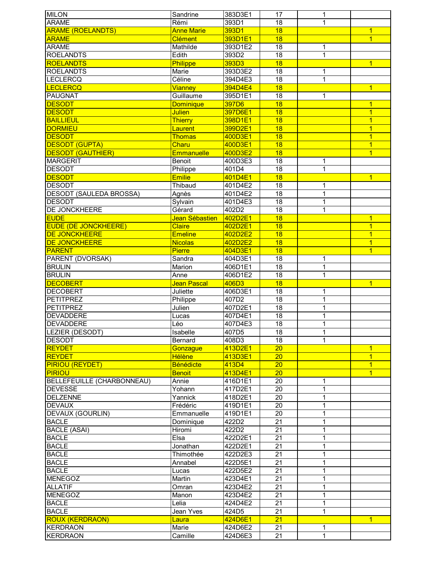| <b>MILON</b>                       | Sandrine          | 383D3E1            | 17              | 1            |                |
|------------------------------------|-------------------|--------------------|-----------------|--------------|----------------|
| <b>ARAME</b>                       | Rémi              | 393D1              | 18              | 1            |                |
| <b>ARAME (ROELANDTS)</b>           | <b>Anne Marie</b> | 393D1              | 18              |              | $\mathbf{1}$   |
| <b>ARAME</b>                       | <b>Clément</b>    | 393D1E1            | 18              |              | $\overline{1}$ |
| <b>ARAME</b>                       | Mathilde          | 393D1E2            | 18              | 1            |                |
| <b>ROELANDTS</b>                   | Edith             | 393D2              | $\overline{18}$ | 1            |                |
| <b>ROELANDTS</b>                   | <b>Philippe</b>   | 393D3              | 18              |              | $\overline{1}$ |
| <b>ROELANDTS</b>                   | Marie             | 393D3E2            | 18              |              |                |
|                                    |                   |                    |                 | 1            |                |
| <b>LECLERCQ</b>                    | Céline            | 394D4E3            | 18              | 1            |                |
| <b>LECLERCQ</b>                    | <b>Vianney</b>    | 394D4E4            | 18              |              | $\overline{1}$ |
| <b>PAUGNAT</b>                     | Guillaume         | 395D1E1            | 18              | 1            |                |
| <b>DESODT</b>                      | <b>Dominique</b>  | 397D6              | 18              |              | $\overline{1}$ |
| <b>DESODT</b>                      | <b>Julien</b>     | 397D6E1            | 18              |              | $\overline{1}$ |
| <b>BAILLIEUL</b>                   | <b>Thierry</b>    | 398D1E1            | 18              |              | $\overline{1}$ |
| <b>DORMIEU</b>                     | Laurent           | 399D2E1            | 18              |              | $\overline{1}$ |
| <b>DESODT</b>                      | <b>Thomas</b>     | 400D3E1            | 18              |              | $\overline{1}$ |
| <b>DESODT (GUPTA)</b>              | Charu             | 400D3E1            | 18              |              | $\overline{1}$ |
| <b>DESODT (GAUTHIER)</b>           | <b>Emmanuelle</b> | 400D3E2            | 18              |              | $\overline{1}$ |
| <b>MARGERIT</b>                    | Benoit            | 400D3E3            | 18              | 1            |                |
| <b>DESODT</b>                      | Philippe          | 401D4              | 18              | $\mathbf{1}$ |                |
| <b>DESODT</b>                      | <b>Emilie</b>     | 401D4E1            | 18              |              | $\overline{1}$ |
| <b>DESODT</b>                      |                   |                    |                 |              |                |
|                                    | Thibaud           | 401D4E2            | 18              | 1            |                |
| <b>DESODT (SAULEDA BROSSA)</b>     | Agnès             | 401D4E2            | 18              | $\mathbf{1}$ |                |
| <b>DESODT</b>                      | Sylvain           | 401D4E3            | $\overline{18}$ | 1            |                |
| DE JONCKHEERE                      | Gérard            | 402D2              | $\overline{18}$ | 1            |                |
| <b>EUDE</b>                        | Jean Sébastien    | 402D2E1            | 18              |              | $\overline{1}$ |
| <b>EUDE (DE JONCKHEERE)</b>        | <b>Claire</b>     | 402D2E1            | 18              |              | $\overline{1}$ |
| DE JONCKHEERE                      | <b>Emeline</b>    | 402D2E2            | 18              |              | $\overline{1}$ |
| DE JONCKHEERE                      | <b>Nicolas</b>    | 402D2E2            | 18              |              | $\overline{1}$ |
| <b>PARENT</b>                      | <b>Pierre</b>     | 404D3E1            | 18              |              | $\overline{1}$ |
| PARENT (DVORSAK)                   | Sandra            | 404D3E1            | 18              | 1            |                |
| <b>BRULIN</b>                      | Marion            | 406D1E1            | 18              | 1            |                |
| <b>BRULIN</b>                      | Anne              | 406D1E2            | 18              | 1            |                |
|                                    |                   |                    |                 |              |                |
|                                    |                   |                    |                 |              |                |
| <b>DECOBERT</b>                    | Jean Pascal       | 406D3              | 18              |              | $\overline{1}$ |
| <b>DECOBERT</b>                    | Juliette          | 406D3E1            | 18              | 1            |                |
| <b>PETITPREZ</b>                   | Philippe          | 407D2              | $\overline{18}$ | $\mathbf 1$  |                |
| <b>PETITPREZ</b>                   | Julien            | 407D2E1            | $\overline{18}$ | 1            |                |
| <b>DEVADDERE</b>                   | Lucas             | 407D4E1            | 18              | 1            |                |
| <b>DEVADDERE</b>                   | Léo               | 407D4E3            | $\overline{18}$ | 1            |                |
| <b>LEZIER (DESODT)</b>             | Isabelle          | 407D5              | $\overline{18}$ | 1            |                |
| <b>DESODT</b>                      | Bernard           | 408D3              | 18              | $\mathbf{1}$ |                |
| <b>REYDET</b>                      | Gonzague          | 413D2E1            | $\overline{20}$ |              | $\mathbf{1}$   |
| <b>REYDET</b>                      | <b>Hélène</b>     | 413D3E1            | 20              |              | $\overline{1}$ |
|                                    |                   |                    |                 |              |                |
| <b>PIRIOU (REYDET)</b>             | <b>Bénédicte</b>  | 413D4              | 20              |              | $\overline{1}$ |
| <b>PIRIOU</b>                      | <b>Benoit</b>     | 413D4E1            | 20              |              | $\overline{1}$ |
| BELLEFEUILLE (CHARBONNEAU)         | Annie             | 416D1E1            | 20              | 1            |                |
| <b>DEVESSE</b>                     | Yohann            | 417D2E1            | 20              | 1            |                |
| <b>DELZENNE</b>                    | Yannick           | 418D2E1            | 20              | 1            |                |
| <b>DEVAUX</b>                      | Frédéric          | 419D1E1            | 20              | 1            |                |
| <b>DEVAUX (GOURLIN)</b>            | Emmanuelle        | 419D1E1            | 20              | 1            |                |
| <b>BACLE</b>                       | Dominique         | 422D2              | 21              | 1            |                |
| <b>BACLE (ASAI)</b>                | Hiromi            | 422D2              | 21              | 1            |                |
| <b>BACLE</b>                       | Elsa              | 422D2E1            | 21              | 1            |                |
| <b>BACLE</b>                       | Jonathan          | 422D2E1            | 21              | 1            |                |
| <b>BACLE</b>                       | Thimothée         | 422D2E3            | 21              | 1            |                |
| <b>BACLE</b>                       | Annabel           | 422D5E1            | 21              | 1            |                |
|                                    |                   |                    |                 | 1            |                |
| <b>BACLE</b>                       | Lucas             | 422D5E2            | 21              |              |                |
| <b>MENEGOZ</b>                     | Martin            | 423D4E1            | 21              | 1            |                |
| <b>ALLATIF</b>                     | Omran             | 423D4E2            | 21              | 1            |                |
| <b>MENEGOZ</b>                     | Manon             | 423D4E2            | 21              | 1            |                |
| <b>BACLE</b>                       | Lelia             | 424D4E2            | $\overline{21}$ | 1            |                |
| <b>BACLE</b>                       | Jean Yves         | 424D5              | $\overline{21}$ | 1            |                |
| <b>ROUX (KERDRAON)</b>             | Laura             | 424D6E1            | $\overline{21}$ |              | $\overline{1}$ |
| <b>KERDRAON</b><br><b>KERDRAON</b> | Marie<br>Camille  | 424D6E2<br>424D6E3 | 21<br>21        | 1<br>1       |                |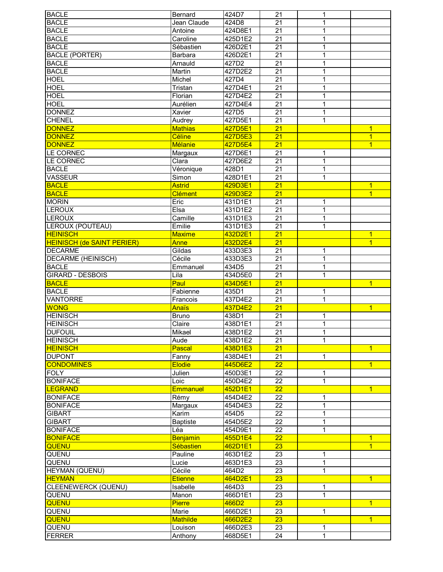| <b>BACLE</b>                      | Bernard            | 424D7              | 21              | 1                 |                |
|-----------------------------------|--------------------|--------------------|-----------------|-------------------|----------------|
| <b>BACLE</b>                      | Jean Claude        | 424D8              | $\overline{21}$ | 1                 |                |
| <b>BACLE</b>                      | Antoine            | 424D8E1            | $\overline{21}$ | $\mathbf{1}$      |                |
| <b>BACLE</b>                      | Caroline           | 425D1E2            | $\overline{21}$ | 1                 |                |
| <b>BACLE</b>                      | Sébastien          | 426D2E1            | $\overline{21}$ | 1                 |                |
| <b>BACLE (PORTER)</b>             | Barbara            | 426D2E1            | $\overline{21}$ | 1                 |                |
| <b>BACLE</b>                      | Arnauld            | 427D2              | 21              | 1                 |                |
| <b>BACLE</b>                      | Martin             | 427D2E2            | 21              | $\mathbf{1}$      |                |
| <b>HOEL</b>                       | Michel             | 427D4              | 21              | 1                 |                |
| <b>HOEL</b>                       | Tristan            | 427D4E1            | $\overline{21}$ | 1                 |                |
| <b>HOEL</b>                       | Florian            | 427D4E2            | 21              | 1                 |                |
|                                   | Aurélien           | 427D4E4            | $\overline{21}$ |                   |                |
| <b>HOEL</b>                       |                    |                    |                 | 1                 |                |
| <b>DONNEZ</b>                     | Xavier             | 427D5              | 21              | 1                 |                |
| <b>CHENEL</b>                     | Audrey             | 427D5E1            | 21              | 1                 |                |
| <b>DONNEZ</b>                     | <b>Mathias</b>     | 427D5E1            | 21              |                   | $\overline{1}$ |
| <b>DONNEZ</b>                     | Céline             | 427D5E3            | $\overline{21}$ |                   | $\overline{1}$ |
| <b>DONNEZ</b>                     | Mélanie            | 427D5E4            | $\overline{21}$ |                   | $\overline{1}$ |
| LE CORNEC                         | Margaux            | 427D6E1            | 21              | 1                 |                |
| LE CORNEC                         | Clara              | 427D6E2            | 21              | 1                 |                |
| <b>BACLE</b>                      | Véronique          | 428D1              | 21              | 1                 |                |
| <b>VASSEUR</b>                    | Simon              | 428D1E1            | 21              | 1                 |                |
| <b>BACLE</b>                      | <b>Astrid</b>      | 429D3E1            | 21              |                   | $\overline{1}$ |
| <b>BACLE</b>                      | <b>Clément</b>     | 429D3E2            | 21              |                   | $\overline{1}$ |
| <b>MORIN</b>                      | Eric               | 431D1E1            | $\overline{21}$ | 1                 |                |
| <b>LEROUX</b>                     | Elsa               | 431D1E2            | $\overline{21}$ | $\mathbf 1$       |                |
| <b>LEROUX</b>                     | Camille            | 431D1E3            | $\overline{21}$ | 1                 |                |
| <b>LEROUX (POUTEAU)</b>           | Emilie             | 431D1E3            | $\overline{21}$ | 1                 |                |
| <b>HEINISCH</b>                   | <b>Maxime</b>      | 432D2E1            | $\overline{21}$ |                   | $\overline{1}$ |
| <b>HEINISCH (de SAINT PERIER)</b> | Anne               | 432D2E4            | $\overline{21}$ |                   | $\overline{1}$ |
| <b>DECARME</b>                    | Gildas             | 433D3E3            | $\overline{21}$ | 1                 |                |
| <b>DECARME (HEINISCH)</b>         | Cécile             | 433D3E3            | $\overline{21}$ |                   |                |
| <b>BACLE</b>                      |                    |                    | 21              | 1                 |                |
|                                   | Emmanuel           | 434D5              | 21              | 1<br>$\mathbf{1}$ |                |
| <b>GIRARD - DESBOIS</b>           | Lila               | 434D5E0            | $\overline{21}$ |                   | $\overline{1}$ |
| <b>BACLE</b>                      | Paul               | 434D5E1            |                 |                   |                |
| <b>BACLE</b>                      | Fabienne           | 435D1              | 21              | $\mathbf 1$       |                |
| <b>VANTORRE</b><br><b>WONG</b>    | Francois           | 437D4E2            | $\overline{21}$ | 1                 |                |
|                                   | Anaïs              | 437D4E2            | $\overline{21}$ |                   | $\overline{1}$ |
| <b>HEINISCH</b>                   | <b>Bruno</b>       | 438D1              | 21              | 1                 |                |
| <b>HEINISCH</b>                   | Claire             | 438D1E1            | $\overline{21}$ | 1                 |                |
| <b>DUFOUIL</b>                    | Mikael             | 438D1E2            |                 |                   |                |
| <b>HEINISCH</b>                   |                    |                    | 21              | 1                 |                |
|                                   | Aude               | 438D1E2            | 21              | 1                 |                |
| <b>HEINISCH</b>                   | Pascal             | 438D1E3            | 21              |                   | $\overline{1}$ |
| <b>DUPONT</b>                     | Fanny              | 438D4E1            | 21              | $\mathbf{1}$      |                |
| <b>CONDOMINES</b>                 | <b>Elodie</b>      | 445D6E2            | $\overline{22}$ |                   | $\overline{1}$ |
| <b>FOLY</b>                       | Julien             | 450D3E1            | 22              | 1                 |                |
| <b>BONIFACE</b>                   | Loic               | 450D4E2            | 22              | 1                 |                |
| <b>LEGRAND</b>                    | <b>Emmanuel</b>    | 452D1E1            | 22              |                   | $\overline{1}$ |
| <b>BONIFACE</b>                   | Rémy               | 454D4E2            | 22              | 1                 |                |
| <b>BONIFACE</b>                   | Margaux            | 454D4E3            | $\overline{22}$ | $\mathbf 1$       |                |
| <b>GIBART</b>                     | Karim              | 454D5              | $\overline{22}$ | $\mathbf 1$       |                |
| <b>GIBART</b>                     | <b>Baptiste</b>    | 454D5E2            | $\overline{22}$ | $\mathbf 1$       |                |
| <b>BONIFACE</b>                   | Léa                | 454D9E1            | $\overline{22}$ | 1                 |                |
| <b>BONIFACE</b>                   | Benjamin           | 455D1E4            | 22              |                   | $\overline{1}$ |
| QUENU                             | Sébastien          | 462D1E1            | $\overline{23}$ |                   | $\overline{1}$ |
| QUENU                             | Pauline            | 463D1E2            | 23              | 1                 |                |
| QUENU                             |                    |                    |                 |                   |                |
|                                   | Lucie              | 463D1E3            | 23              | 1                 |                |
| HEYMAN (QUENU)                    | Cécile             | 464D2              | 23              | $\mathbf 1$       |                |
| <b>HEYMAN</b>                     | <b>Etienne</b>     | 464D2E1            | 23              |                   | $\overline{1}$ |
| CLEENEWERCK (QUENU)               | Isabelle           | 464D3              | 23              | $\mathbf 1$       |                |
| QUENU                             | Manon              | 466D1E1            | 23              | 1                 |                |
| QUENU                             | <b>Pierre</b>      | 466D2              | $\overline{23}$ |                   | $\overline{1}$ |
| QUENU                             | Marie              | 466D2E1            | 23              | 1                 |                |
| <b>QUENU</b>                      | <b>Mathilde</b>    | 466D2E2            | 23              |                   | $\overline{1}$ |
| QUENU<br><b>FERRER</b>            | Louison<br>Anthony | 466D2E3<br>468D5E1 | 23<br>24        | 1<br>1            |                |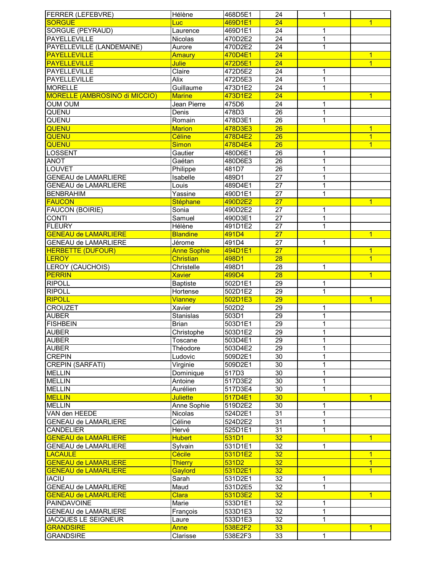| <b>FERRER (LEFEBVRE)</b>             | Hélène             | 468D5E1 | 24              | 1              |                |
|--------------------------------------|--------------------|---------|-----------------|----------------|----------------|
| <b>SORGUE</b>                        | Luc                | 469D1E1 | $\overline{24}$ |                | $\overline{1}$ |
| <b>SORGUE (PEYRAUD)</b>              | Laurence           | 469D1E1 | 24              | 1              |                |
| <b>PAYELLEVILLE</b>                  | <b>Nicolas</b>     | 470D2E2 | $\overline{24}$ | 1              |                |
| PAYELLEVILLE (LANDEMAINE)            | Aurore             | 470D2E2 | $\overline{24}$ | 1              |                |
| <b>PAYELLEVILLE</b>                  | Amaury             | 470D4E1 | $\overline{24}$ |                | $\mathbf{1}$   |
| <b>PAYELLEVILLE</b>                  | <b>Julie</b>       | 472D5E1 | $\overline{24}$ |                | $\overline{1}$ |
| PAYELLEVILLE                         | Claire             | 472D5E2 | 24              | 1              |                |
| PAYELLEVILLE                         | Alix               | 472D5E3 | $\overline{24}$ | 1              |                |
| <b>MORELLE</b>                       | Guillaume          | 473D1E2 | 24              | 1              |                |
| <b>MORELLE (AMBROSINO di MICCIO)</b> | <b>Marine</b>      | 473D1E2 | $\overline{24}$ |                | $\overline{1}$ |
| <b>OUM OUM</b>                       | Jean Pierre        | 475D6   | $\overline{24}$ | 1              |                |
| QUENU                                | Denis              | 478D3   | $\overline{26}$ | 1              |                |
| QUENU                                | Romain             | 478D3E1 | $\overline{26}$ | 1              |                |
| QUENU                                | <b>Marion</b>      | 478D3E3 | 26              |                | $\overline{1}$ |
| QUENU                                | Céline             | 478D4E2 | $\overline{26}$ |                | $\overline{1}$ |
| QUENU                                | <b>Simon</b>       | 478D4E4 | $\overline{26}$ |                | $\overline{1}$ |
| <b>LOSSENT</b>                       | Gautier            | 480D6E1 | 26              | $\mathbf 1$    |                |
| <b>ANOT</b>                          | Gaétan             | 480D6E3 | 26              | 1              |                |
| LOUVET                               | Philippe           | 481D7   | 26              | 1              |                |
| <b>GENEAU de LAMARLIERE</b>          | Isabelle           | 489D1   | 27              | 1              |                |
| <b>GENEAU de LAMARLIERE</b>          | Louis              | 489D4E1 | 27              | 1              |                |
| <b>BENBRAHIM</b>                     | Yassine            | 490D1E1 | 27              | 1              |                |
| <b>FAUCON</b>                        | <b>Stéphane</b>    | 490D2E2 | $\overline{27}$ |                | $\overline{1}$ |
|                                      |                    |         |                 |                |                |
| <b>FAUCON (BOIRIE)</b>               | Sonia              | 490D2E2 | 27              | 1              |                |
| <b>CONTI</b>                         | Samuel             | 490D3E1 | $\overline{27}$ | $\overline{1}$ |                |
| <b>FLEURY</b>                        | Hélène             | 491D1E2 | 27              | 1              |                |
| <b>GENEAU de LAMARLIERE</b>          | <b>Blandine</b>    | 491D4   | $\overline{27}$ |                | $\overline{1}$ |
| <b>GENEAU de LAMARLIERE</b>          | Jérome             | 491D4   | 27              | 1              |                |
| <b>HERBETTE (DUFOUR)</b>             | <b>Anne Sophie</b> | 494D1E1 | $\overline{27}$ |                | $\overline{1}$ |
| <b>LEROY</b>                         | Christian          | 498D1   | 28              |                | $\overline{1}$ |
| <b>LEROY (CAUCHOIS)</b>              | Christelle         | 498D1   | 28              | 1              |                |
|                                      |                    |         |                 |                |                |
| <b>PERRIN</b>                        | <b>Xavier</b>      | 499D4   | 28              |                | $\overline{1}$ |
| <b>RIPOLL</b>                        | <b>Baptiste</b>    | 502D1E1 | 29              | $\mathbf 1$    |                |
| <b>RIPOLL</b>                        | Hortense           | 502D1E2 | 29              | 1              |                |
| <b>RIPOLL</b>                        | Vianney            | 502D1E3 | $\overline{29}$ |                | $\overline{1}$ |
| <b>CROUZET</b>                       | Xavier             | 502D2   | 29              | 1              |                |
| <b>AUBER</b>                         | <b>Stanislas</b>   | 503D1   | 29              | 1              |                |
| <b>FISHBEIN</b>                      | <b>Brian</b>       | 503D1E1 | $\overline{29}$ | 1              |                |
| <b>AUBER</b>                         | Christophe         | 503D1E2 | 29              | 1              |                |
| <b>AUBER</b>                         | Toscane            | 503D4E1 | 29              | 1              |                |
| <b>AUBER</b>                         | Théodore           | 503D4E2 | $\overline{29}$ | 1              |                |
| <b>CREPIN</b>                        | Ludovic            | 509D2E1 | 30              | $\mathbf 1$    |                |
| <b>CREPIN (SARFATI)</b>              | Virginie           | 509D2E1 | 30              | 1              |                |
| <b>MELLIN</b>                        | Dominique          | 517D3   | 30              | $\mathbf 1$    |                |
| <b>MELLIN</b>                        | Antoine            | 517D3E2 | $30\,$          | 1              |                |
| <b>MELLIN</b>                        | Aurélien           | 517D3E4 | 30              | 1              |                |
| <b>MELLIN</b>                        | <b>Juliette</b>    | 517D4E1 | 30              |                | $\overline{1}$ |
| <b>MELLIN</b>                        | Anne Sophie        | 519D2E2 | 30              | 1              |                |
| VAN den HEEDE                        | Nicolas            | 524D2E1 | 31              | 1              |                |
| <b>GENEAU de LAMARLIERE</b>          | Céline             | 524D2E2 | 31              | 1              |                |
| <b>CANDELIER</b>                     | Hervé              | 525D1E1 | 31              | 1              |                |
| <b>GENEAU de LAMARLIERE</b>          | <b>Hubert</b>      | 531D1   | 32              |                | $\overline{1}$ |
| <b>GENEAU de LAMARLIERE</b>          | Sylvain            | 531D1E1 | 32              | 1              |                |
| <b>LACAULE</b>                       | Cécile             | 531D1E2 | 32              |                | $\overline{1}$ |
| <b>GENEAU de LAMARLIERE</b>          | <b>Thierry</b>     | 531D2   | 32              |                | $\mathbf{1}$   |
| <b>GENEAU de LAMARLIERE</b>          | Gaylord            | 531D2E1 | 32              |                | $\overline{1}$ |
| <b>IACIU</b>                         | Sarah              | 531D2E1 | 32              | 1              |                |
| <b>GENEAU de LAMARLIERE</b>          | Maud               | 531D2E5 | 32              | 1              |                |
| <b>GENEAU de LAMARLIERE</b>          | Clara              | 531D3E2 | 32              |                | $\overline{1}$ |
| <b>PAINDAVOINE</b>                   | Marie              | 533D1E1 | $\overline{32}$ | 1              |                |
| <b>GENEAU de LAMARLIERE</b>          | François           | 533D1E3 | $\overline{32}$ | 1              |                |
| JACQUES LE SEIGNEUR                  | Laure              | 533D1E3 | $\overline{32}$ | 1              |                |
| <b>GRANDSIRE</b>                     | <b>Anne</b>        | 538E2F2 | 33              |                | $\mathbf{1}$   |
| <b>GRANDSIRE</b>                     | Clarisse           | 538E2F3 | 33              | 1              |                |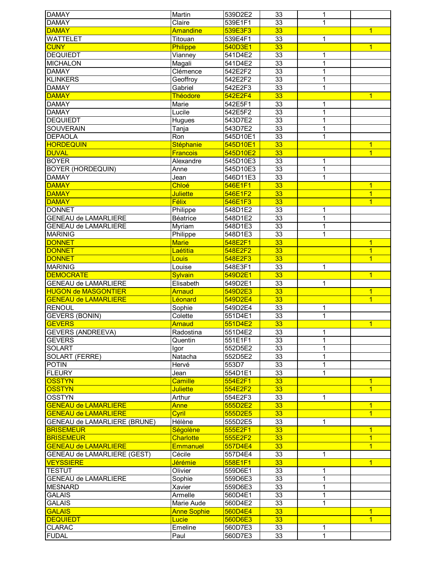| <b>DAMAY</b>                 | Martin             | 539D2E2  | 33              | 1            |                         |
|------------------------------|--------------------|----------|-----------------|--------------|-------------------------|
| <b>DAMAY</b>                 | Claire             | 539E1F1  | $\overline{33}$ | 1            |                         |
| <b>DAMAY</b>                 | <b>Amandine</b>    | 539E3F3  | 33              |              | $\overline{1}$          |
| <b>WATTELET</b>              | Titouan            | 539E4F1  | 33              | 1            |                         |
| <b>CUNY</b>                  | Philippe           | 540D3E1  | 33              |              | $\overline{1}$          |
| <b>DEQUIEDT</b>              | Vianney            | 541D4E2  | 33              | 1            |                         |
| <b>MICHALON</b>              | Magali             | 541D4E2  | 33              | 1            |                         |
| <b>DAMAY</b>                 | Clémence           | 542E2F2  | 33              | $\mathbf 1$  |                         |
| <b>KLINKERS</b>              | Geoffroy           | 542E2F2  | 33              | $\mathbf{1}$ |                         |
| <b>DAMAY</b>                 |                    |          | 33              |              |                         |
|                              | Gabriel            | 542E2F3  |                 | $\mathbf 1$  |                         |
| <b>DAMAY</b>                 | <b>Théodore</b>    | 542E2F4  | 33              |              | $\overline{1}$          |
| <b>DAMAY</b>                 | Marie              | 542E5F1  | 33              | 1            |                         |
| <b>DAMAY</b>                 | Lucile             | 542E5F2  | $\overline{33}$ | 1            |                         |
| <b>DEQUIEDT</b>              | Hugues             | 543D7E2  | 33              | $\mathbf 1$  |                         |
| <b>SOUVERAIN</b>             | Tanja              | 543D7E2  | 33              | $\mathbf 1$  |                         |
| <b>DEPAOLA</b>               | Ron                | 545D10E1 | 33              | $\mathbf 1$  |                         |
| <b>HORDEQUIN</b>             | Stéphanie          | 545D10E1 | 33              |              | $\overline{1}$          |
| <b>DUVAL</b>                 | <b>Francois</b>    | 545D10E2 | 33              |              | $\overline{1}$          |
| <b>BOYER</b>                 | Alexandre          | 545D10E3 | 33              | 1            |                         |
| <b>BOYER (HORDEQUIN)</b>     | Anne               | 545D10E3 | 33              | $\mathbf{1}$ |                         |
| <b>DAMAY</b>                 | Jean               | 546D11E3 | 33              | $\mathbf{1}$ |                         |
| <b>DAMAY</b>                 | Chloé              | 546E1F1  | 33              |              | 1                       |
| <b>DAMAY</b>                 | <b>Juliette</b>    | 546E1F2  | 33              |              | $\overline{1}$          |
|                              |                    |          |                 |              |                         |
| <b>DAMAY</b>                 | Félix              | 546E1F3  | 33              |              | $\overline{1}$          |
| <b>DONNET</b>                | Philippe           | 548D1E2  | 33              | 1            |                         |
| <b>GENEAU de LAMARLIERE</b>  | Béatrice           | 548D1E2  | $\overline{33}$ | 1            |                         |
| <b>GENEAU de LAMARLIERE</b>  | Myriam             | 548D1E3  | 33              | 1            |                         |
| <b>MARINIG</b>               | Philippe           | 548D1E3  | $\overline{33}$ | 1            |                         |
| <b>DONNET</b>                | <b>Marie</b>       | 548E2F1  | 33              |              | $\overline{\mathbf{1}}$ |
| <b>DONNET</b>                | Laétitia           | 548E2F2  | 33              |              | $\overline{1}$          |
| <b>DONNET</b>                | Louis              | 548E2F3  | 33              |              | $\overline{1}$          |
| <b>MARINIG</b>               | Louise             | 548E3F1  | 33              | 1            |                         |
| <b>DEMOCRATE</b>             | <b>Sylvain</b>     | 549D2E1  | 33              |              | $\overline{1}$          |
| <b>GENEAU de LAMARLIERE</b>  | Elisabeth          | 549D2E1  | 33              | $\mathbf 1$  |                         |
| <b>HUGON de MASGONTIER</b>   | <b>Arnaud</b>      | 549D2E3  | 33              |              | $\overline{1}$          |
| <b>GENEAU de LAMARLIERE</b>  | Léonard            | 549D2E4  | 33              |              | $\overline{1}$          |
|                              |                    |          |                 |              |                         |
| <b>RENOUL</b>                | Sophie             | 549D2E4  | 33              | 1            |                         |
| <b>GEVERS (BONIN)</b>        | Colette            | 551D4E1  | $\overline{33}$ | 1            |                         |
| <b>GEVERS</b>                | <b>Arnaud</b>      | 551D4E2  | 33              |              | $\overline{1}$          |
| <b>GEVERS (ANDREEVA)</b>     | Radostina          | 551D4E2  | 33              | 1            |                         |
| <b>GEVERS</b>                | Quentin            | 551E1F1  | 33              | 1            |                         |
| <b>SOLART</b>                | Igor               | 552D5E2  | $\overline{33}$ | 1            |                         |
| SOLART (FERRE)               | Natacha            | 552D5E2  | 33              | 1            |                         |
| <b>POTIN</b>                 | Hervé              | 553D7    | 33              | 1            |                         |
| <b>FLEURY</b>                | Jean               | 554D1E1  | 33              | $\mathbf{1}$ |                         |
| <b>OSSTYN</b>                | <b>Camille</b>     | 554E2F1  | 33              |              | $\overline{1}$          |
| <b>OSSTYN</b>                | <b>Juliette</b>    | 554E2F2  | 33              |              | $\overline{1}$          |
| <b>OSSTYN</b>                | Arthur             | 554E2F3  | 33              | 1            |                         |
| <b>GENEAU de LAMARLIERE</b>  | <b>Anne</b>        | 555D2E2  | 33              |              | $\overline{1}$          |
| <b>GENEAU de LAMARLIERE</b>  | Cyril              | 555D2E5  | 33              |              | $\overline{1}$          |
|                              |                    |          |                 |              |                         |
| GENEAU de LAMARLIERE (BRUNE) | Hélène             | 555D2E5  | 33              | 1            |                         |
| <b>BRISEMEUR</b>             | Ségolène           | 555E2F1  | 33              |              | $\overline{1}$          |
| <b>BRISEMEUR</b>             | <b>Charlotte</b>   | 555E2F2  | 33              |              | $\overline{1}$          |
| <b>GENEAU de LAMARLIERE</b>  | <b>Emmanuel</b>    | 557D4E4  | 33              |              | $\overline{1}$          |
| GENEAU de LAMARLIERE (GEST)  | Cécile             | 557D4E4  | 33              | 1            |                         |
| <b>VEYSSIERE</b>             | Jérémie            | 558E1F1  | 33              |              | $\overline{1}$          |
| <b>TESTUT</b>                | Olivier            | 559D6E1  | 33              | 1            |                         |
| <b>GENEAU de LAMARLIERE</b>  | Sophie             | 559D6E3  | 33              | 1            |                         |
| <b>MESNARD</b>               | Xavier             | 559D6E3  | 33              | 1            |                         |
| <b>GALAIS</b>                | Armelle            | 560D4E1  | 33              | 1            |                         |
| <b>GALAIS</b>                | Marie Aude         | 560D4E2  | 33              | 1            |                         |
| <b>GALAIS</b>                | <b>Anne Sophie</b> | 560D4E4  | 33              |              | $\overline{1}$          |
| <b>DEQUIEDT</b>              | Lucie              | 560D6E3  | 33              |              | $\overline{1}$          |
| <b>CLARAC</b>                | Emeline            | 560D7E3  | 33              | 1            |                         |
| <b>FUDAL</b>                 |                    | 560D7E3  | 33              | $\mathbf{1}$ |                         |
|                              | Paul               |          |                 |              |                         |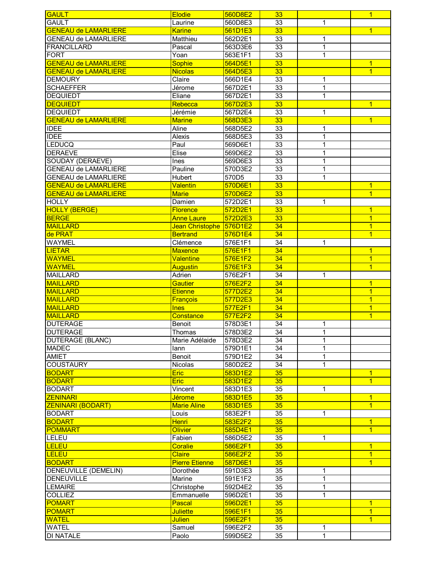| <b>GAULT</b>                | <b>Elodie</b>         | 560D8E2 | 33              |              | $\overline{1}$ |
|-----------------------------|-----------------------|---------|-----------------|--------------|----------------|
| <b>GAULT</b>                | Laurine               | 560D8E3 | 33              | 1            |                |
| <b>GENEAU de LAMARLIERE</b> | <b>Karine</b>         | 561D1E3 | 33              |              | $\overline{1}$ |
| <b>GENEAU de LAMARLIERE</b> | Matthieu              | 562D2E1 | 33              | 1            |                |
| <b>FRANCILLARD</b>          | Pascal                | 563D3E6 | 33              | 1            |                |
| <b>FORT</b>                 | Yoan                  | 563E1F1 | 33              | 1            |                |
| <b>GENEAU de LAMARLIERE</b> | <b>Sophie</b>         | 564D5E1 | 33              |              | $\mathbf{1}$   |
|                             |                       |         | 33              |              | $\overline{1}$ |
| <b>GENEAU de LAMARLIERE</b> | <b>Nicolas</b>        | 564D5E3 |                 |              |                |
| <b>DEMOURY</b>              | Claire                | 566D1E4 | 33              | 1            |                |
| <b>SCHAEFFER</b>            | Jérome                | 567D2E1 | 33              | 1            |                |
| <b>DEQUIEDT</b>             | Eliane                | 567D2E1 | 33              | $\mathbf{1}$ |                |
| <b>DEQUIEDT</b>             | Rebecca               | 567D2E3 | 33              |              | $\overline{1}$ |
| <b>DEQUIEDT</b>             | Jérémie               | 567D2E4 | 33              | 1            |                |
| <b>GENEAU de LAMARLIERE</b> | <b>Marine</b>         | 568D3E3 | 33              |              | $\overline{1}$ |
| <b>IDEE</b>                 | Aline                 | 568D5E2 | 33              | $\mathbf 1$  |                |
| <b>IDEE</b>                 | Alexis                | 568D5E3 | $\overline{33}$ | 1            |                |
| <b>LEDUCQ</b>               | Paul                  | 569D6E1 | 33              | $\mathbf 1$  |                |
| <b>DERAEVE</b>              | Elise                 | 569D6E2 | 33              | 1            |                |
| SOUDAY (DERAEVE)            | Ines                  | 569D6E3 | 33              | $\mathbf{1}$ |                |
| <b>GENEAU de LAMARLIERE</b> | Pauline               | 570D3E2 |                 | $\mathbf 1$  |                |
|                             |                       |         | 33              |              |                |
| <b>GENEAU de LAMARLIERE</b> | Hubert                | 570D5   | 33              | 1            |                |
| <b>GENEAU de LAMARLIERE</b> | <b>Valentin</b>       | 570D6E1 | 33              |              | $\overline{1}$ |
| <b>GENEAU de LAMARLIERE</b> | <b>Marie</b>          | 570D6E2 | 33              |              | $\overline{1}$ |
| <b>HOLLY</b>                | Damien                | 572D2E1 | 33              | 1            |                |
| <b>HOLLY (BERGE)</b>        | <b>Florence</b>       | 572D2E1 | 33              |              | $\overline{1}$ |
| <b>BERGE</b>                | <b>Anne Laure</b>     | 572D2E3 | 33              |              | $\overline{1}$ |
| <b>MAILLARD</b>             | Jean Christophe       | 576D1E2 | 34              |              | $\overline{1}$ |
| de PRAT                     | <b>Bertrand</b>       | 576D1E4 | 34              |              | $\overline{1}$ |
| <b>WAYMEL</b>               | Clémence              | 576E1F1 | 34              | 1            |                |
| <b>LIETAR</b>               | <b>Maxence</b>        | 576E1F1 | 34              |              | $\overline{1}$ |
| <b>WAYMEL</b>               | <b>Valentine</b>      | 576E1F2 | 34              |              | $\overline{1}$ |
|                             |                       |         |                 |              |                |
| <b>WAYMEL</b>               | Augustin              | 576E1F3 | 34              |              | $\overline{1}$ |
| <b>MAILLARD</b>             | Adrien                | 576E2F1 | 34              | 1            |                |
| <b>MAILLARD</b>             | <b>Gautier</b>        | 576E2F2 | 34              |              | $\overline{1}$ |
| <b>MAILLARD</b>             | <b>Etienne</b>        | 577D2E2 | 34              |              | $\overline{1}$ |
| <b>MAILLARD</b>             | <b>François</b>       | 577D2E3 | 34              |              | $\overline{1}$ |
| <b>MAILLARD</b>             | <b>Ines</b>           | 577E2F1 | 34              |              | $\overline{1}$ |
| <b>MAILLARD</b>             | Constance             | 577E2F2 | $\overline{34}$ |              | $\overline{1}$ |
| <b>DUTERAGE</b>             | <b>Benoit</b>         | 578D3E1 | 34              | 1            |                |
| <b>DUTERAGE</b>             | Thomas                | 578D3E2 | $\overline{34}$ | 1            |                |
| <b>DUTERAGE (BLANC)</b>     | Marie Adélaide        | 578D3E2 | 34              | 1            |                |
| <b>MADEC</b>                | lann                  | 579D1E1 | $\overline{34}$ | 1            |                |
| <b>AMIET</b>                | <b>Benoit</b>         | 579D1E2 | $\overline{34}$ | $\mathbf{1}$ |                |
|                             |                       |         |                 |              |                |
| <b>COUSTAURY</b>            | Nicolas               | 580D2E2 | 34              | $\mathbf{1}$ |                |
| <b>BODART</b>               | <b>Eric</b>           | 583D1E2 | 35              |              | $\overline{1}$ |
| <b>BODART</b>               | Eric                  | 583D1E2 | 35              |              | $\overline{1}$ |
| <b>BODART</b>               | Vincent               | 583D1E3 | 35              | 1            |                |
| <b>ZENINARI</b>             | <b>Jérome</b>         | 583D1E5 | 35              |              | $\overline{1}$ |
| <b>ZENINARI (BODART)</b>    | <b>Marie Aline</b>    | 583D1E5 | 35              |              | $\overline{1}$ |
| <b>BODART</b>               | Louis                 | 583E2F1 | 35              | 1            |                |
| <b>BODART</b>               | <b>Henri</b>          | 583E2F2 | 35              |              | $\mathbf{1}$   |
| <b>POMMART</b>              | <b>Olivier</b>        | 585D4E1 | 35              |              | $\overline{1}$ |
| LELEU                       | Fabien                | 586D5E2 | 35              | 1            |                |
| <b>LELEU</b>                | <b>Coralie</b>        | 586E2F1 | 35              |              | $\overline{1}$ |
| <b>LELEU</b>                | <b>Claire</b>         | 586E2F2 | 35              |              | $\mathbf{1}$   |
| <b>BODART</b>               | <b>Pierre Etienne</b> |         | 35              |              | $\overline{1}$ |
|                             |                       | 587D6E1 |                 |              |                |
| DENEUVILLE (DEMELIN)        | Dorothée              | 591D3E3 | 35              | 1            |                |
| <b>DENEUVILLE</b>           | Marine                | 591E1F2 | 35              | 1            |                |
| <b>LEMAIRE</b>              | Christophe            | 592D4E2 | 35              | 1            |                |
| <b>COLLIEZ</b>              | Emmanuelle            | 596D2E1 | 35              | 1            |                |
| <b>POMART</b>               | Pascal                | 596D2E1 | 35              |              | $\overline{1}$ |
| <b>POMART</b>               | <b>Juliette</b>       | 596E1F1 | 35              |              | $\overline{1}$ |
| <b>WATEL</b>                | <b>Julien</b>         | 596E2F1 | 35              |              | $\overline{1}$ |
| <b>WATEL</b>                | Samuel                | 596E2F2 | 35              | 1            |                |
| DI NATALE                   | Paolo                 | 599D5E2 | 35              | $\mathbf 1$  |                |
|                             |                       |         |                 |              |                |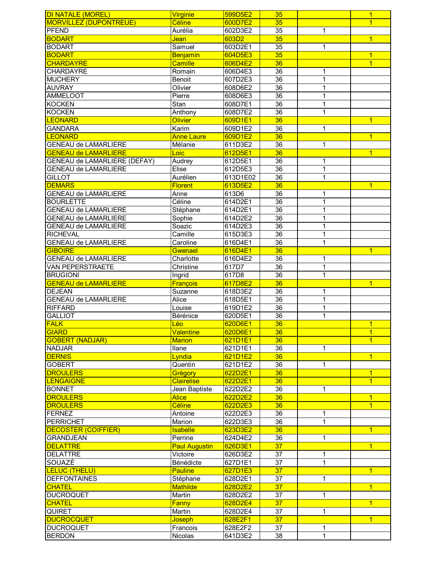| <b>DI NATALE (MOREL)</b>                       | <b>Virginie</b>      | 599D5E2            | 35              |                     | $\mathbf{1}$                     |
|------------------------------------------------|----------------------|--------------------|-----------------|---------------------|----------------------------------|
| <b>MORVILLEZ (DUPONTREUE)</b>                  | Céline               | 600D7E2            | 35              |                     | $\overline{1}$                   |
| <b>PFEND</b>                                   | Aurélia              | 602D3E2            | $\overline{35}$ | 1                   |                                  |
| <b>BODART</b>                                  | Jean                 | 603D2              | 35              |                     | $\overline{1}$                   |
| <b>BODART</b>                                  | Samuel               | 603D2E1            | $\overline{35}$ | 1                   |                                  |
| <b>BODART</b>                                  | <b>Benjamin</b>      | 604D5E3            | 35              |                     | $\overline{1}$                   |
| <b>CHARDAYRE</b>                               | Camille              | 606D4E2            | 36              |                     | $\overline{1}$                   |
| CHARDAYRE                                      | Romain               | 606D4E3            | 36              | 1                   |                                  |
| <b>MUCHERY</b>                                 | Benoit               | 607D2E3            | 36              | $\mathbf{1}$        |                                  |
| <b>AUVRAY</b>                                  | Olivier              | 608D6E2            | 36              | 1                   |                                  |
| AMMELOOT                                       | Pierre               | 608D6E3            | $\overline{36}$ | 1                   |                                  |
| <b>KOCKEN</b>                                  | Stan                 | 608D7E1            | 36              | 1                   |                                  |
| <b>KOCKEN</b>                                  | Anthony              | 608D7E2            | $\overline{36}$ | 1                   |                                  |
| <b>LEONARD</b>                                 | <b>Olivier</b>       | 609D1E1            | 36              |                     | $\overline{1}$                   |
| <b>GANDARA</b>                                 | Karim                | 609D1E2            | 36              | 1                   |                                  |
| <b>LEONARD</b>                                 | <b>Anne Laure</b>    | 609D1E2            | 36              |                     | $\overline{1}$                   |
| <b>GENEAU de LAMARLIERE</b>                    | Mélanie              | 611D3E2            | 36              | 1                   |                                  |
| <b>GENEAU de LAMARLIERE</b>                    | Loic                 | 612D5E1            | 36              |                     | $\overline{1}$                   |
| GENEAU de LAMARLIERE (DEFAY)                   | Audrey               | 612D5E1            | 36              | 1                   |                                  |
| <b>GENEAU de LAMARLIERE</b>                    | Elise                | 612D5E3            | 36              | 1                   |                                  |
| <b>GILLOT</b>                                  | Aurélien             | 613D1E02           | 36              | 1                   |                                  |
| <b>DEMARS</b>                                  | <b>Florent</b>       | 613D5E2            | 36              |                     | $\overline{1}$                   |
| <b>GENEAU de LAMARLIERE</b>                    | Anne                 | 613D6              | 36              | 1                   |                                  |
| <b>BOURLETTE</b>                               | Céline               | 614D2E1            | 36              | $\mathbf 1$         |                                  |
| <b>GENEAU de LAMARLIERE</b>                    | Stéphane             | 614D2E1            | 36              | 1                   |                                  |
| <b>GENEAU de LAMARLIERE</b>                    | Sophie               | 614D2E2            | $\overline{36}$ | 1                   |                                  |
| <b>GENEAU de LAMARLIERE</b>                    | Soazic               | 614D2E3            | $\overline{36}$ | 1                   |                                  |
| <b>RICHEVAL</b>                                | Camille              | 615D3E3            | $\overline{36}$ | 1                   |                                  |
| <b>GENEAU de LAMARLIERE</b>                    | Caroline             | 616D4E1            | $\overline{36}$ | 1                   |                                  |
| <b>GIBOIRE</b>                                 | Gwenael              | 616D4E1            | 36              |                     | $\overline{1}$                   |
| <b>GENEAU de LAMARLIERE</b>                    | Charlotte            | 616D4E2            | $\overline{36}$ | 1                   |                                  |
| <b>VAN PEPERSTRAETE</b>                        | Christine            | 617D7              | 36              | $\mathbf 1$         |                                  |
| <b>BRUGIONI</b>                                | Ingrid               | 617D8              | $\overline{36}$ | 1                   |                                  |
| <b>GENEAU de LAMARLIERE</b>                    | François             | 617D8E2            | 36              |                     | $\overline{1}$                   |
| <b>DEJEAN</b>                                  | Suzanne              | 618D3E2            | 36              | 1                   |                                  |
| <b>GENEAU de LAMARLIERE</b>                    | Alice                | 618D5E1            | $\overline{36}$ | 1                   |                                  |
| <b>RIFFARD</b>                                 | Louise               | 619D1E2            | $\overline{36}$ | 1                   |                                  |
| <b>GALLIOT</b>                                 | Bérénice             | 620D5E1            | $\overline{36}$ | 1                   |                                  |
| <b>FALK</b>                                    | Léo                  | 620D6E1            | 36              |                     | $\mathbf{1}$                     |
| <b>GIARD</b>                                   | <b>Valentine</b>     | 620D6E1            | 36              |                     | $\overline{1}$                   |
| <b>GOBERT (NADJAR)</b>                         | <b>Marion</b>        | 621D1E1            | 36              |                     | $\overline{1}$                   |
| <b>NADJAR</b>                                  | Ilane                | 621D1E1            | 36              | $\mathbf{1}$        |                                  |
| <b>DERNIS</b>                                  | Lyndia               | 621D1E2            | 36              |                     | $\overline{1}$                   |
| <b>GOBERT</b>                                  | Quentin              | 621D1E2            | 36              | 1                   |                                  |
| <b>DROULERS</b>                                | Grégory              | 622D2E1            | 36              |                     |                                  |
| <b>LENGAIGNE</b>                               | <b>Clairelise</b>    | 622D2E1            | 36              |                     | $\overline{1}$<br>$\overline{1}$ |
|                                                |                      |                    |                 |                     |                                  |
| <b>BONNET</b>                                  | Jean Baptiste        | 622D2E2            | 36              | 1                   |                                  |
| <b>DROULERS</b>                                | <b>Alice</b>         | 622D2E2            | 36<br>36        |                     | $\overline{1}$<br>$\overline{1}$ |
| <b>DROULERS</b>                                | Céline               | 622D2E3            |                 |                     |                                  |
| <b>FERNEZ</b>                                  | Antoine<br>Marion    | 622D2E3            | 36<br>36        | 1<br>$\overline{1}$ |                                  |
| <b>PERRICHET</b><br><b>DECOSTER (COIFFIER)</b> |                      | 622D3E3            |                 |                     |                                  |
|                                                |                      |                    |                 |                     |                                  |
|                                                | <b>Isabelle</b>      | 623D3E2            | 36              |                     | $\overline{1}$                   |
| <b>GRANDJEAN</b>                               | Perrine              | 624D4E2            | 36              | $\mathbf 1$         |                                  |
| <b>DELATTRE</b>                                | <b>Paul Augustin</b> | 626D3E1            | 37              |                     | $\overline{1}$                   |
| <b>DELATTRE</b>                                | Victoire             | 626D3E2            | 37              | 1                   |                                  |
| SOUAZÉ                                         | Bénédicte            | 627D1E1            | 37              | $\mathbf 1$         |                                  |
| <b>LELUC (THELU)</b>                           | <b>Pauline</b>       | 627D1E3            | 37              |                     | $\overline{1}$                   |
| <b>DEFFONTAINES</b>                            | Stéphane             | 628D2E1            | 37              | $\mathbf 1$         |                                  |
| <b>CHATEL</b>                                  | <b>Mathilde</b>      | 628D2E2            | 37              |                     | $\overline{1}$                   |
| <b>DUCROQUET</b>                               | Martin               | 628D2E2            | 37              | $\mathbf 1$         |                                  |
| <b>CHATEL</b>                                  | Fanny                | 628D2E4            | $\overline{37}$ |                     | $\overline{1}$                   |
| <b>QUIRET</b>                                  | Martin               | 628D2E4            | 37              | 1                   |                                  |
| <b>DUCROCQUET</b>                              | Joseph               | 628E2F1            | 37              |                     | $\overline{1}$                   |
| <b>DUCROQUET</b><br><b>BERDON</b>              | Francois<br>Nicolas  | 628E2F2<br>641D3E2 | 37<br>38        | 1<br>1              |                                  |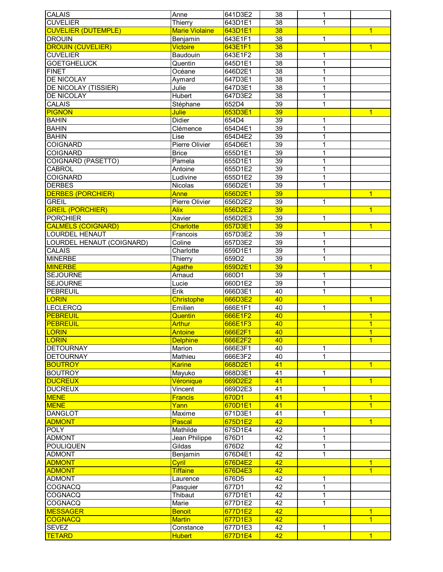| <b>CALAIS</b>                              | Anne                       | 641D3E2            | 38                    | 1            |                |
|--------------------------------------------|----------------------------|--------------------|-----------------------|--------------|----------------|
| <b>CUVELIER</b>                            | Thierry                    | 643D1E1            | $\overline{38}$       | $\mathbf{1}$ |                |
| <b>CUVELIER (DUTEMPLE)</b>                 | <b>Marie Violaine</b>      | 643D1E1            | 38                    |              | $\overline{1}$ |
| <b>DROUIN</b>                              | Benjamin                   | 643E1F1            | $\overline{38}$       | 1            |                |
| <b>DROUIN (CUVELIER)</b>                   | <b>Victoire</b>            | 643E1F1            | 38                    |              | $\overline{1}$ |
| <b>CUVELIER</b>                            | Baudouin                   | 643E1F2            | 38                    | 1            |                |
| <b>GOETGHELUCK</b>                         | Quentin                    | 645D1E1            | $\overline{38}$       | $\mathbf{1}$ |                |
| <b>FINET</b>                               | Océane                     | 646D2E1            | $\overline{38}$       | $\mathbf 1$  |                |
| DE NICOLAY                                 | Aymard                     | 647D3E1            | $\overline{38}$       | 1            |                |
| DE NICOLAY (TISSIER)                       | Julie                      | 647D3E1            | 38                    | 1            |                |
| <b>DE NICOLAY</b>                          | <b>Hubert</b>              | 647D3E2            | $\overline{38}$       | 1            |                |
| <b>CALAIS</b>                              | Stéphane                   | 652D4              | 39                    | 1            |                |
| <b>PIGNON</b>                              | <b>Julie</b>               | 653D3E1            | 39                    |              | $\overline{1}$ |
| <b>BAHIN</b>                               | <b>Didier</b>              | 654D4              | 39                    | 1            |                |
| <b>BAHIN</b>                               | Clémence                   | 654D4E1            | $\overline{39}$       | 1            |                |
| <b>BAHIN</b>                               | Lise                       | 654D4E2            | $\overline{39}$       | $\mathbf 1$  |                |
| <b>COIGNARD</b>                            | Pierre Olivier             | 654D6E1            | $\overline{39}$       | 1            |                |
| <b>COIGNARD</b>                            | <b>Brice</b>               | 655D1E1            | 39                    | 1            |                |
| COIGNARD (PASETTO)                         | Pamela                     | 655D1E1            | 39                    | 1            |                |
| <b>CABROL</b>                              | Antoine                    | 655D1E2            | 39                    | $\mathbf 1$  |                |
| <b>COIGNARD</b>                            | Ludivine                   | 655D1E2            | 39                    | 1            |                |
| <b>DERBES</b>                              | Nicolas                    | 656D2E1            | 39                    | 1            |                |
| <b>DERBES (PORCHIER)</b>                   | Anne                       | 656D2E1            | 39                    |              | $\mathbf{1}$   |
| <b>GREIL</b>                               | Pierre Olivier             | 656D2E2            | $\overline{39}$<br>39 | $\mathbf{1}$ |                |
| <b>GREIL (PORCHIER)</b><br><b>PORCHIER</b> | <b>Alix</b>                | 656D2E2            | $\overline{39}$       |              | $\overline{1}$ |
| <b>CALMELS (COIGNARD)</b>                  | Xavier<br><b>Charlotte</b> | 656D2E3<br>657D3E1 | 39                    | $\mathbf{1}$ | $\overline{1}$ |
| <b>LOURDEL HENAUT</b>                      |                            | 657D3E2            | $\overline{39}$       | 1            |                |
| LOURDEL HENAUT (COIGNARD)                  | Francois<br>Coline         | 657D3E2            | $\overline{39}$       | 1            |                |
| CALAIS                                     | Charlotte                  | 659D1E1            | $\overline{39}$       | $\mathbf 1$  |                |
| <b>MINERBE</b>                             | Thierry                    | 659D2              | 39                    | 1            |                |
| <b>MINERBE</b>                             | Agathe                     | 659D2E1            | 39                    |              | $\overline{1}$ |
| <b>SEJOURNE</b>                            | Arnaud                     | 660D1              | 39                    | $\mathbf 1$  |                |
| <b>SEJOURNE</b>                            | Lucie                      | 660D1E2            | 39                    | $\mathbf{1}$ |                |
| <b>PEBREUIL</b>                            | Erik                       | 666D3E1            | 40                    | 1            |                |
| <b>LORIN</b>                               | <b>Christophe</b>          | 666D3E2            | 40                    |              | $\overline{1}$ |
| <b>LECLERCQ</b>                            | Emilien                    | 666E1F1            | 40                    | 1            |                |
| <b>PEBREUIL</b>                            | Quentin                    | 666E1F2            | 40                    |              | $\mathbf{1}$   |
| <b>PEBREUIL</b>                            | <b>Arthur</b>              | 666E1F3            | 40                    |              | $\overline{1}$ |
| <b>LORIN</b>                               | <b>Antoine</b>             | 666E2F1            | 40                    |              | $\overline{1}$ |
| <b>LORIN</b>                               | <b>Delphine</b>            | 666E2F2            | 40                    |              | $\overline{1}$ |
| <b>DETOURNAY</b>                           | Marion                     | 666E3F1            | 40                    | 1            |                |
| <b>DETOURNAY</b>                           | Mathieu                    | 666E3F2            | 40                    | 1            |                |
| <b>BOUTROY</b>                             | <b>Karine</b>              | 668D2E1            | 41                    |              | $\overline{1}$ |
| <b>BOUTROY</b>                             | Mayuko                     | 668D3E1            | 41                    | $\mathbf 1$  |                |
| <b>DUCREUX</b>                             | Véronique                  | 669D2E2            | 41                    |              | $\overline{1}$ |
| <b>DUCREUX</b>                             | Vincent                    | 669D2E3            | 41                    | $\mathbf{1}$ |                |
| <b>MENE</b>                                | <b>Francis</b>             | 670D1              | 41                    |              | $\overline{1}$ |
| <b>MENE</b>                                | Yann                       | 670D1E1            | 41                    |              | $\overline{1}$ |
| <b>DANGLOT</b>                             | Maxime                     | 671D3E1            | 41                    | 1            |                |
| <b>ADMONT</b>                              | Pascal                     | 675D1E2            | 42                    |              | $\overline{1}$ |
| <b>POLY</b>                                | Mathilde                   | 675D1E4            | $\overline{42}$       | 1            |                |
| <b>ADMONT</b>                              | Jean Philippe              | 676D1              | 42                    | $\mathbf{1}$ |                |
| <b>POULIQUEN</b>                           | Gildas                     | 676D2              | 42                    | $\mathbf{1}$ |                |
| <b>ADMONT</b>                              | Benjamin                   | 676D4E1            | 42                    | $\mathbf{1}$ |                |
| <b>ADMONT</b>                              | Cyril                      | 676D4E2            | $\overline{42}$       |              | $\overline{1}$ |
| <b>ADMONT</b>                              | <b>Tiffaine</b>            | 676D4E3            | 42                    |              | $\overline{1}$ |
| <b>ADMONT</b>                              | Laurence                   | 676D5              | 42                    | 1            |                |
| <b>COGNACQ</b>                             | Pasquier                   | 677D1              | 42                    | $\mathbf{1}$ |                |
| <b>COGNACQ</b>                             | Thibaut                    | 677D1E1            | $\overline{42}$       | $\mathbf{1}$ |                |
| <b>COGNACQ</b>                             | Marie                      | 677D1E2            | $\overline{42}$       | $\mathbf{1}$ |                |
| <b>MESSAGER</b>                            | <b>Benoit</b>              | 677D1E2            | 42                    |              | $\mathbf{1}$   |
| <b>COGNACQ</b>                             | <b>Martin</b>              | 677D1E3            | 42                    |              | $\overline{1}$ |
| <b>SEVEZ</b>                               | Constance                  | 677D1E3            | 42                    | 1            |                |
| <b>TETARD</b>                              | <b>Hubert</b>              | 677D1E4            | 42                    |              | $\overline{1}$ |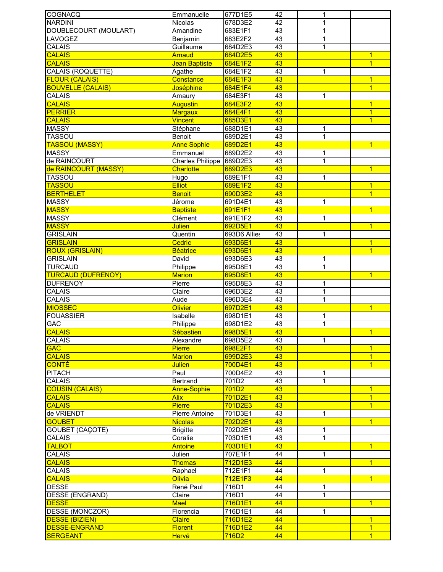| <b>COGNACQ</b>                              | Emmanuelle                     | 677D1E5            | 42              | 1            |                                  |
|---------------------------------------------|--------------------------------|--------------------|-----------------|--------------|----------------------------------|
| <b>NARDINI</b>                              | Nicolas                        | 678D3E2            | $\overline{42}$ | 1            |                                  |
| DOUBLECOURT (MOULART)                       | Amandine                       | 683E1F1            | 43              | 1            |                                  |
| <b>LAVOGEZ</b>                              | Benjamin                       | 683E2F2            | 43              | 1            |                                  |
| <b>CALAIS</b>                               | Guillaume                      | 684D2E3            | 43              | 1            |                                  |
| <b>CALAIS</b>                               | Arnaud                         | 684D2E5            | 43              |              | 1                                |
| <b>CALAIS</b>                               | Jean Baptiste                  | 684E1F2            | 43              |              | $\overline{1}$                   |
| CALAIS (ROQUETTE)                           | Agathe                         | 684E1F2            | 43              | 1            |                                  |
| <b>FLOUR (CALAIS)</b>                       | Constance                      | 684E1F3            | 43              |              | $\overline{1}$                   |
| <b>BOUVELLE (CALAIS)</b>                    | Joséphine                      | 684E1F4            | 43              |              | $\overline{1}$                   |
| <b>CALAIS</b>                               | Amaury                         | 684E3F1            | 43              | 1            |                                  |
| <b>CALAIS</b>                               | <b>Augustin</b>                | 684E3F2            | 43              |              | $\overline{1}$                   |
| <b>PERRIER</b>                              |                                |                    |                 |              |                                  |
|                                             | <b>Margaux</b>                 | 684E4F1            | 43              |              | $\overline{1}$                   |
| <b>CALAIS</b>                               | <b>Vincent</b>                 | 685D3E1            | 43              |              | $\overline{1}$                   |
| <b>MASSY</b>                                | Stéphane                       | 688D1E1            | 43              | 1            |                                  |
| <b>TASSOU</b>                               | Benoit                         | 689D2E1            | 43              | 1            |                                  |
| <b>TASSOU (MASSY)</b>                       | <b>Anne Sophie</b>             | 689D2E1            | 43              |              | $\overline{1}$                   |
| <b>MASSY</b>                                | Emmanuel                       | 689D2E2            | 43              | 1            |                                  |
| de RAINCOURT                                | <b>Charles Philippe</b>        | 689D2E3            | 43              | $\mathbf{1}$ |                                  |
| de RAINCOURT (MASSY)                        | <b>Charlotte</b>               | 689D2E3            | 43              |              | $\overline{1}$                   |
| <b>TASSOU</b>                               | Hugo                           | 689E1F1            | 43              | 1            |                                  |
| <b>TASSOU</b>                               | <b>Elliot</b>                  | 689E1F2            | 43              |              | $\overline{1}$                   |
| <b>BERTHELET</b>                            | <b>Benoit</b>                  | 690D3E2            | 43              |              | $\overline{1}$                   |
| <b>MASSY</b>                                | Jérome                         | 691D4E1            | 43              | 1            |                                  |
| <b>MASSY</b>                                | <b>Baptiste</b>                | 691E1F1            | 43              |              | $\overline{1}$                   |
| <b>MASSY</b>                                | Clément                        | 691E1F2            | 43              | $\mathbf 1$  |                                  |
| <b>MASSY</b>                                | <b>Julien</b>                  | 692D5E1            | 43              |              | $\overline{1}$                   |
| <b>GRISLAIN</b>                             | Quentin                        | 693D6 Allies       | 43              | 1            |                                  |
| <b>GRISLAIN</b>                             | Cedric                         | 693D6E1            | 43              |              | $\overline{1}$                   |
| <b>ROUX (GRISLAIN)</b>                      | <b>Béatrice</b>                | 693D6E1            | 43              |              | $\overline{1}$                   |
| <b>GRISLAIN</b>                             | David                          | 693D6E3            | 43              | 1            |                                  |
|                                             |                                |                    | 43              | $\mathbf 1$  |                                  |
| <b>TURCAUD</b><br><b>TURCAUD (DUFRENOY)</b> | Philippe                       | 695D8E1            | 43              |              | $\overline{1}$                   |
|                                             | <b>Marion</b>                  | 695D8E1            |                 |              |                                  |
| <b>DUFRENOY</b>                             | Pierre                         | 695D8E3            | 43              | 1            |                                  |
| CALAIS                                      | Claire                         | 696D3E2            | 43              | 1            |                                  |
| <b>CALAIS</b>                               | Aude<br><b>Olivier</b>         | 696D3E4            | 43              | 1            |                                  |
|                                             |                                | 697D2E1            | 43              |              | $\overline{1}$                   |
| <b>MIOSSEC</b>                              |                                |                    |                 |              |                                  |
| <b>FOUASSIER</b>                            | Isabelle                       | 698D1E1            | 43              | 1            |                                  |
| <b>GAC</b>                                  | Philippe                       | 698D1E2            | 43              | 1            |                                  |
| <b>CALAIS</b>                               | Sébastien                      | 698D5E1            | 43              |              | $\overline{1}$                   |
| <b>CALAIS</b>                               | Alexandre                      | 698D5E2            | 43              | $\mathbf{1}$ |                                  |
| <b>GAC</b>                                  | <b>Pierre</b>                  | 698E2F1            | 43              |              | $\overline{1}$                   |
| <b>CALAIS</b>                               | <b>Marion</b>                  | 699D2E3            | 43              |              | $\overline{1}$                   |
| <b>CONTÉ</b>                                | <b>Julien</b>                  | 700D4E1            | 43              |              | $\overline{1}$                   |
| <b>PITACH</b>                               | Paul                           | 700D4E2            | 43              | 1            |                                  |
| CALAIS                                      | Bertrand                       | 701D2              | 43              | 1            |                                  |
| <b>COUSIN (CALAIS)</b>                      | <b>Anne-Sophie</b>             | $\overline{701D2}$ | 43              |              | $\overline{1}$                   |
| <b>CALAIS</b>                               | <b>Alix</b>                    | 701D2E1            | 43              |              | $\overline{1}$                   |
| <b>CALAIS</b>                               | <b>Pierre</b>                  | 701D2E3            | 43              |              | $\overline{1}$                   |
|                                             |                                |                    |                 |              |                                  |
| de VRIENDT<br><b>GOUBET</b>                 | <b>Pierre Antoine</b>          | 701D3E1            | 43              | 1            | $\overline{1}$                   |
|                                             | <b>Nicolas</b>                 | 702D2E1            | 43              |              |                                  |
| <b>GOUBET (CAÇOTE)</b>                      | <b>Brigitte</b>                | 702D2E1            | 43              | 1            |                                  |
| <b>CALAIS</b>                               | Coralie                        | 703D1E1            | 43              | 1            |                                  |
| <b>TALBOT</b>                               | Antoine                        | 703D1E1            | 43              |              | $\overline{1}$                   |
| CALAIS                                      | Julien                         | 707E1F1            | 44              | 1            |                                  |
| <b>CALAIS</b>                               | <b>Thomas</b>                  | 712D1E3            | 44              |              | $\overline{1}$                   |
| CALAIS                                      | Raphael                        | 712E1F1            | 44              | 1            |                                  |
| <b>CALAIS</b>                               | Olivia                         | 712E1F3            | 44              |              | $\overline{1}$                   |
| <b>DESSE</b>                                | René Paul                      | 716D1              | 44              | 1            |                                  |
| DESSE (ENGRAND)                             | Claire                         | 716D1              | 44              | $\mathbf{1}$ |                                  |
| <b>DESSE</b>                                | <b>Mael</b>                    | 716D1E1            | 44              |              | $\overline{1}$                   |
| <b>DESSE (MONCZOR)</b>                      | Florencia                      | 716D1E1            | 44              | 1            |                                  |
| <b>DESSE (BIZIEN)</b>                       | <b>Claire</b>                  | 716D1E2            | 44              |              | $\mathbf{1}$                     |
| <b>DESSE-ENGRAND</b><br><b>SERGEANT</b>     | <b>Florent</b><br><b>Hervé</b> | 716D1E2<br>716D2   | 44<br>44        |              | $\overline{1}$<br>$\overline{1}$ |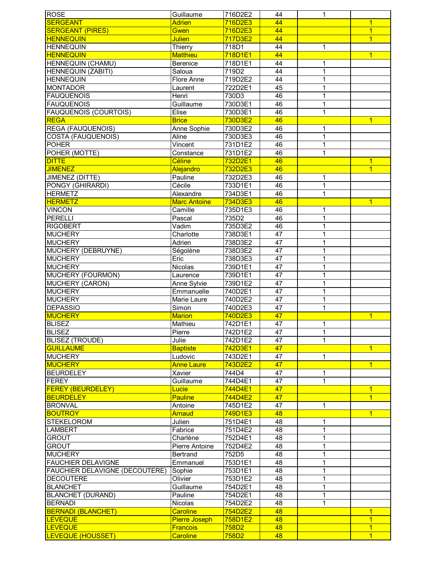| <b>ROSE</b>                    | Guillaume            | 716D2E2 | 44              | 1              |                |
|--------------------------------|----------------------|---------|-----------------|----------------|----------------|
| <b>SERGEANT</b>                | <b>Adrien</b>        | 716D2E3 | 44              |                | $\overline{1}$ |
| <b>SERGEANT (PIRES)</b>        | Gwen                 | 716D2E3 | 44              |                | $\overline{1}$ |
| <b>HENNEQUIN</b>               | <b>Julien</b>        | 717D3E2 | 44              |                | $\overline{1}$ |
| <b>HENNEQUIN</b>               | Thierry              | 718D1   | 44              | 1              |                |
| <b>HENNEQUIN</b>               | <b>Matthieu</b>      | 718D1E1 | 44              |                | $\overline{1}$ |
| HENNEQUIN (CHAMU)              | Berenice             | 718D1E1 | 44              | 1              |                |
| HENNEQUIN (ZABITI)             | Saloua               | 719D2   | 44              | 1              |                |
| <b>HENNEQUIN</b>               | Flore Anne           | 719D2E2 | 44              | 1              |                |
| <b>MONTADOR</b>                | Laurent              | 722D2E1 | 45              | $\mathbf{1}$   |                |
| <b>FAUQUENOIS</b>              | Henri                | 730D3   | 46              | 1              |                |
| <b>FAUQUENOIS</b>              | Guillaume            | 730D3E1 | 46              | 1              |                |
|                                |                      |         |                 |                |                |
| <b>FAUQUENOIS (COURTOIS)</b>   | Elise                | 730D3E1 | 46              | 1              |                |
| <b>REGA</b>                    | <b>Brice</b>         | 730D3E2 | 46              |                | $\overline{1}$ |
| <b>REGA (FAUQUENOIS)</b>       | Anne Sophie          | 730D3E2 | 46              | 1              |                |
| COSTA (FAUQUENOIS)             | Aline                | 730D3E3 | 46              | 1              |                |
| <b>POHER</b>                   | Vincent              | 731D1E2 | 46              | $\overline{1}$ |                |
| POHER (MOTTE)                  | Constance            | 731D1E2 | 46              | $\mathbf{1}$   |                |
| <b>DITTE</b>                   | <b>Céline</b>        | 732D2E1 | 46              |                | $\overline{1}$ |
| <b>JIMENEZ</b>                 | Alejandro            | 732D2E3 | 46              |                | $\overline{1}$ |
| JIMENEZ (DITTE)                | Pauline              | 732D2E3 | 46              | 1              |                |
| PONGY (GHIRARDI)               | Cécile               | 733D1E1 | 46              | $\mathbf 1$    |                |
| <b>HERMETZ</b>                 | Alexandre            | 734D3E1 | 46              | $\mathbf{1}$   |                |
| <b>HERMETZ</b>                 | <b>Marc Antoine</b>  | 734D3E3 | 46              |                | $\overline{1}$ |
| <b>VINCON</b>                  | Camille              | 735D1E3 | 46              | 1              |                |
| <b>PERELLI</b>                 | Pascal               | 735D2   | 46              | 1              |                |
| <b>RIGOBERT</b>                | Vadim                | 735D3E2 | 46              | 1              |                |
| <b>MUCHERY</b>                 | Charlotte            | 738D3E1 | 47              | 1              |                |
| <b>MUCHERY</b>                 | Adrien               | 738D3E2 | 47              |                |                |
| MUCHERY (DEBRUYNE)             | Ségolène             | 738D3E2 | 47              | 1              |                |
| <b>MUCHERY</b>                 | Eric                 | 738D3E3 | 47              | 1              |                |
| <b>MUCHERY</b>                 | Nicolas              | 739D1E1 | 47              | 1              |                |
| MUCHERY (FOURMON)              | Laurence             | 739D1E1 | 47              | 1              |                |
| MUCHERY (CARON)                | Anne Sylvie          | 739D1E2 | 47              | 1              |                |
| <b>MUCHERY</b>                 | Emmanuelle           | 740D2E1 | 47              | 1              |                |
| <b>MUCHERY</b>                 | Marie Laure          | 740D2E2 | 47              | $\mathbf 1$    |                |
| <b>DEPASSIO</b>                | Simon                | 740D2E3 | 47              | 1              |                |
| <b>MUCHERY</b>                 | <b>Marion</b>        | 740D2E3 | 47              |                | $\overline{1}$ |
| <b>BLISEZ</b>                  | Mathieu              | 742D1E1 | 47              | 1              |                |
| <b>BLISEZ</b>                  |                      |         | $\overline{47}$ | 1              |                |
|                                | Pierre               | 742D1E2 |                 |                |                |
| <b>BLISEZ (TROUDE)</b>         | Julie                | 742D1E2 | 47              | $\mathbf{1}$   |                |
| <b>GUILLAUME</b>               | <b>Baptiste</b>      | 742D3E1 | 47              |                | $\overline{1}$ |
| <b>MUCHERY</b>                 | Ludovic              | 743D2E1 | $\overline{47}$ | 1              |                |
| <b>MUCHERY</b>                 | <b>Anne Laure</b>    | 743D2E2 | 47              |                | $\overline{1}$ |
| <b>BEURDELEY</b>               | Xavier               | 744D4   | 47              | 1              |                |
| <b>FEREY</b>                   | Guillaume            | 744D4E1 | 47              | $\mathbf{1}$   |                |
| <b>FEREY (BEURDELEY)</b>       | Lucie                | 744D4E1 | 47              |                | $\overline{1}$ |
| <b>BEURDELEY</b>               | <b>Pauline</b>       | 744D4E2 | 47              |                | $\overline{1}$ |
| <b>BRONVAL</b>                 | Antoine              | 745D1E2 | 47              | 1              |                |
| <b>BOUTROY</b>                 | <b>Arnaud</b>        | 749D1E3 | 48              |                | $\overline{1}$ |
| <b>STEKELOROM</b>              | Julien               | 751D4E1 | 48              | 1              |                |
| <b>LAMBERT</b>                 | Fabrice              | 751D4E2 | 48              | 1              |                |
| <b>GROUT</b>                   | Charlène             | 752D4E1 | 48              | 1              |                |
| <b>GROUT</b>                   | Pierre Antoine       | 752D4E2 | 48              | 1              |                |
| <b>MUCHERY</b>                 | <b>Bertrand</b>      | 752D5   | 48              | 1              |                |
| FAUCHIER DELAVIGNE             | Emmanuel             | 753D1E1 | 48              | 1              |                |
| FAUCHIER DELAVIGNE (DECOUTERE) | Sophie               | 753D1E1 | 48              | 1              |                |
| <b>DECOUTERE</b>               | Olivier              | 753D1E2 | 48              | 1              |                |
| <b>BLANCHET</b>                | Guillaume            | 754D2E1 | 48              | 1              |                |
| <b>BLANCHET (DURAND)</b>       | Pauline              | 754D2E1 | 48              | 1              |                |
| <b>BERNADI</b>                 | Nicolas              | 754D2E2 | 48              | 1              |                |
| <b>BERNADI (BLANCHET)</b>      | <b>Caroline</b>      | 754D2E2 | 48              |                | $\overline{1}$ |
| <b>LEVEQUE</b>                 | <b>Pierre Joseph</b> | 758D1E2 | 48              |                | $\overline{1}$ |
| <b>LEVEQUE</b>                 | <b>Francois</b>      | 758D2   | 48              |                | $\overline{1}$ |
| LEVEQUE (HOUSSET)              | <b>Caroline</b>      | 758D2   | 48              |                | $\overline{1}$ |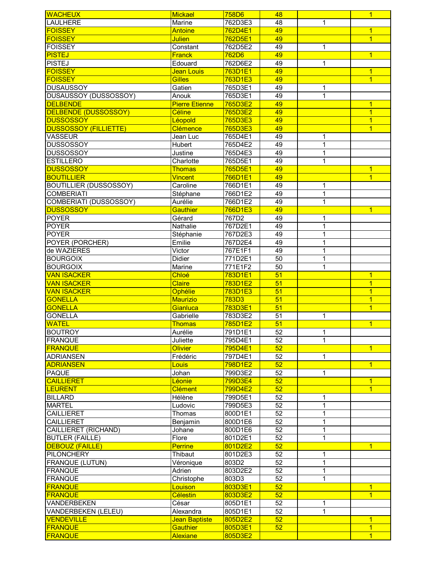| <b>WACHEUX</b>                   | <b>Mickael</b>                     | 758D6              | 48              |              | $\overline{1}$                   |
|----------------------------------|------------------------------------|--------------------|-----------------|--------------|----------------------------------|
| <b>LAULHERE</b>                  | Marine                             | 762D3E3            | 48              | 1            |                                  |
| <b>FOISSEY</b>                   | Antoine                            | 762D4E1            | 49              |              | 1                                |
| <b>FOISSEY</b>                   | <b>Julien</b>                      | 762D5E1            | 49              |              | $\overline{1}$                   |
| <b>FOISSEY</b>                   | Constant                           | 762D5E2            | 49              | 1            |                                  |
| <b>PISTEJ</b>                    | <b>Franck</b>                      | 762D6              | 49              |              | $\overline{1}$                   |
| <b>PISTEJ</b>                    | Edouard                            | 762D6E2            | 49              | 1            |                                  |
| <b>FOISSEY</b>                   | Jean Louis                         | 763D1E1            | 49              |              | $\overline{1}$                   |
| <b>FOISSEY</b>                   | <b>Gilles</b>                      | 763D1E3            | 49              |              | $\overline{1}$                   |
| <b>DUSAUSSOY</b>                 | Gatien                             | 765D3E1            | 49              | 1            |                                  |
| <b>DUSAUSSOY (DUSSOSSOY)</b>     | Anouk                              | 765D3E1            | 49              | 1            |                                  |
| <b>DELBENDE</b>                  | <b>Pierre Etienne</b>              | 765D3E2            | 49              |              | $\overline{1}$                   |
|                                  |                                    |                    |                 |              |                                  |
| <b>DELBENDE (DUSSOSSOY)</b>      | Céline                             | 765D3E2            | 49              |              | $\overline{1}$                   |
| <b>DUSSOSSOY</b>                 | Léopold                            | 765D3E3            | 49              |              | $\overline{1}$                   |
| <b>DUSSOSSOY (FILLIETTE)</b>     | Clémence                           | 765D3E3            | 49              |              | $\overline{1}$                   |
| <b>VASSEUR</b>                   | Jean Luc                           | 765D4E1            | 49              | 1            |                                  |
| <b>DUSSOSSOY</b>                 | Hubert                             | 765D4E2            | 49              | 1            |                                  |
| <b>DUSSOSSOY</b>                 | Justine                            | 765D4E3            | 49              | 1            |                                  |
| <b>ESTILLERO</b>                 | Charlotte                          | 765D5E1            | 49              | 1            |                                  |
| <b>DUSSOSSOY</b>                 | <b>Thomas</b>                      | 765D5E1            | 49              |              | $\overline{1}$                   |
| <b>BOUTILLIER</b>                | <b>Vincent</b>                     | 766D1E1            | 49              |              | $\overline{1}$                   |
| <b>BOUTILLIER (DUSSOSSOY)</b>    | Caroline                           | 766D1E1            | 49              | 1            |                                  |
| <b>COMBERIATI</b>                | Stéphane                           | 766D1E2            | 49              | $\mathbf{1}$ |                                  |
| COMBERIATI (DUSSOSSOY)           | Aurélie                            | 766D1E2            | 49              | $\mathbf 1$  |                                  |
| <b>DUSSOSSOY</b>                 | <b>Gauthier</b>                    | 766D1E3            | 49              |              | $\mathbf{1}$                     |
| <b>POYER</b>                     | Gérard                             | 767D2              | 49              | 1            |                                  |
| <b>POYER</b>                     | Nathalie                           | 767D2E1            | 49              | 1            |                                  |
| <b>POYER</b>                     | Stéphanie                          | 767D2E3            | 49              | 1            |                                  |
| <b>POYER (PORCHER)</b>           | Emilie                             | 767D2E4            | 49              | 1            |                                  |
| de WAZIERES                      | Victor                             | 767E1F1            | 49              | 1            |                                  |
| <b>BOURGOIX</b>                  | Didier                             | 771D2E1            | 50              | 1            |                                  |
| <b>BOURGOIX</b>                  | Marine                             | 771E1F2            | 50              | 1            |                                  |
| <b>VAN ISACKER</b>               | Chloé                              | 783D1E1            | 51              |              | $\overline{1}$                   |
| <b>VAN ISACKER</b>               | <b>Claire</b>                      | 783D1E2            | 51              |              | $\overline{1}$                   |
| <b>VAN ISACKER</b>               | Ophélie                            | 783D1E3            | 51              |              | $\overline{1}$                   |
| <b>GONELLA</b>                   | Maurizio                           | 783D3              | 51              |              | $\overline{1}$                   |
| <b>GONELLA</b>                   | Gianluca                           | 783D3E1            | 51              |              | $\overline{1}$                   |
| <b>GONELLA</b>                   | Gabrielle                          | 783D3E2            | $\overline{51}$ | 1            |                                  |
| <b>WATEL</b>                     | <b>Thomas</b>                      | 785D1E2            | 51              |              | $\overline{1}$                   |
| <b>BOUTROY</b>                   | Aurélie                            | 791D1E1            | $\overline{52}$ | 1            |                                  |
| <b>FRANQUE</b>                   | Juliette                           | 795D4E1            | 52              | 1            |                                  |
| <b>FRANQUE</b>                   | <b>Olivier</b>                     | 795D4E1            | 52              |              | $\overline{1}$                   |
| <b>ADRIANSEN</b>                 | Frédéric                           | 797D4E1            | $\overline{52}$ | $\mathbf{1}$ |                                  |
| <b>ADRIANSEN</b>                 |                                    | 798D1E2            | 52              |              | $\overline{1}$                   |
| <b>PAQUE</b>                     | Louis<br>Johan                     | 799D3E2            | 52              | $\mathbf{1}$ |                                  |
|                                  |                                    |                    |                 |              |                                  |
| <b>CAILLIERET</b>                | Léonie                             | 799D3E4            | 52              |              | $\mathbf{1}$                     |
| <b>LEURENT</b>                   | <b>Clément</b>                     | 799D4E2            | 52              |              | $\overline{1}$                   |
| <b>BILLARD</b>                   | Hélène                             | 799D5E1            | 52              | 1            |                                  |
| <b>MARTEL</b>                    | Ludovic                            | 799D5E3            | $\overline{52}$ | 1            |                                  |
| <b>CAILLIERET</b>                | Thomas                             | 800D1E1            | 52              | 1            |                                  |
| <b>CAILLIERET</b>                | Benjamin                           | 800D1E6            | 52              | 1            |                                  |
| <b>CAILLIERET (RICHAND)</b>      | Johane                             | 800D1E6            | $\overline{52}$ | 1            |                                  |
| <b>BUTLER (FAILLE)</b>           | Flore                              | 801D2E1            | 52              | 1            |                                  |
| <b>DEBOUZ (FAILLE)</b>           | <b>Perrine</b>                     | 801D2E2            | 52              |              | $\overline{1}$                   |
| <b>PILONCHERY</b>                | Thibaut                            | 801D2E3            | 52              | 1            |                                  |
| <b>FRANQUE (LUTUN)</b>           | Véronique                          | 803D2              | 52              | $\mathbf 1$  |                                  |
| <b>FRANQUE</b>                   | Adrien                             | 803D2E2            | 52              | $\mathbf 1$  |                                  |
| <b>FRANQUE</b>                   | Christophe                         | 803D3              | 52              | $\mathbf{1}$ |                                  |
| <b>FRANQUE</b>                   | Louison                            | 803D3E1            | 52              |              | $\overline{1}$                   |
|                                  |                                    |                    |                 |              | $\overline{1}$                   |
| <b>FRANQUE</b>                   | <b>Célestin</b>                    | 803D3E2            | 52              |              |                                  |
| VANDERBEKEN                      | César                              | 805D1E1            | 52              | 1            |                                  |
| VANDERBEKEN (LELEU)              | Alexandra                          | 805D1E1            | 52              | $\mathbf{1}$ |                                  |
| <b>VENDEVILLE</b>                | Jean Baptiste                      | 805D2E2            | 52              |              | $\mathbf{1}$                     |
| <b>FRANQUE</b><br><b>FRANQUE</b> | <b>Gauthier</b><br><b>Alexiane</b> | 805D3E1<br>805D3E2 | 52              |              | $\overline{1}$<br>$\overline{1}$ |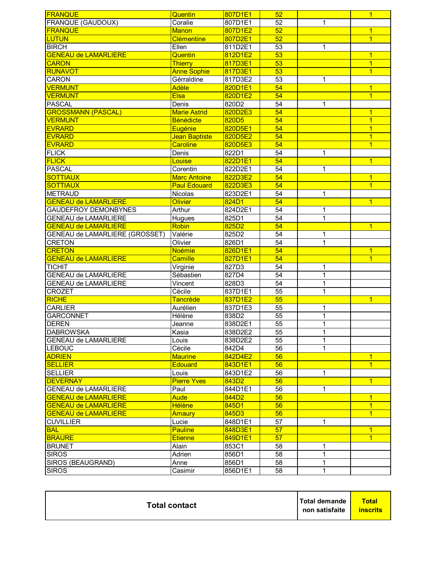| <b>FRANQUE</b>                        | Quentin             | 807D1E1          | 52              |                | $\overline{1}$ |
|---------------------------------------|---------------------|------------------|-----------------|----------------|----------------|
| <b>FRANQUE (GAUDOUX)</b>              | Coralie             | 807D1E1          | 52              | 1              |                |
| <b>FRANQUE</b>                        | <b>Manon</b>        | 807D1E2          | 52              |                | $\overline{1}$ |
| <b>LUTUN</b>                          | <b>Clémentine</b>   | 807D2E1          | 52              |                | $\overline{1}$ |
| <b>BIRCH</b>                          | Ellen               | 811D2E1          | $\overline{53}$ | 1              |                |
| <b>GENEAU de LAMARLIERE</b>           | Quentin             | 812D1E2          | 53              |                | $\mathbf{1}$   |
| <b>CARON</b>                          | <b>Thierry</b>      | 817D3E1          | 53              |                | $\overline{1}$ |
| <b>RUNAVOT</b>                        | <b>Anne Sophie</b>  | 817D3E1          | 53              |                | $\overline{1}$ |
| CARON                                 | Gérraldine          | 817D3E2          | 53              | 1              |                |
| <b>VERMUNT</b>                        | Adèle               | 820D1E1          | 54              |                | $\overline{1}$ |
| <b>VERMUNT</b>                        | <b>Elsa</b>         | 820D1E2          | 54              |                | $\overline{1}$ |
| <b>PASCAL</b>                         | Denis               | 820D2            | 54              | 1              |                |
| <b>GROSSMANN (PASCAL)</b>             | <b>Marie Astrid</b> | 820D2E3          | 54              |                | $\overline{1}$ |
| <b>VERMUNT</b>                        | <b>Bénédicte</b>    | 820D5            | 54              |                | $\overline{1}$ |
| <b>EVRARD</b>                         | Eugénie             | 820D5E1          | 54              |                | $\overline{1}$ |
| <b>EVRARD</b>                         | Jean Baptiste       | 820D5E2          | 54              |                | $\overline{1}$ |
| <b>EVRARD</b>                         |                     |                  | 54              |                | $\overline{1}$ |
|                                       | <b>Caroline</b>     | 820D5E3          |                 |                |                |
| <b>FLICK</b>                          | Denis               | 822D1            | 54              | 1              |                |
| <b>FLICK</b>                          | Louise              | 822D1E1          | 54              |                | $\overline{1}$ |
| <b>PASCAL</b>                         | Corentin            | 822D2E1          | 54              | 1              |                |
| <b>SOTTIAUX</b>                       | <b>Marc Antoine</b> | 822D3E2          | 54              |                | $\overline{1}$ |
| <b>SOTTIAUX</b>                       | <b>Paul Edouard</b> | 822D3E3          | 54              |                | $\overline{1}$ |
| <b>METRAUD</b>                        | Nicolas             | 823D2E1          | 54              | 1              |                |
| <b>GENEAU de LAMARLIERE</b>           | <b>Olivier</b>      | 824D1            | 54              |                | $\overline{1}$ |
| <b>GAUDEFROY DEMONBYNES</b>           | Arthur              | 824D2E1          | $\overline{54}$ | $\mathbf{1}$   |                |
| <b>GENEAU de LAMARLIERE</b>           | Hugues              | 825D1            | $\overline{54}$ | $\mathbf{1}$   |                |
| <b>GENEAU de LAMARLIERE</b>           | Robin               | 825D2            | 54              |                | $\overline{1}$ |
| <b>GENEAU de LAMARLIERE (GROSSET)</b> | Valérie             | 825D2            | 54              | 1              |                |
| <b>CRETON</b>                         | Olivier             | 826D1            | $\overline{54}$ | $\overline{1}$ |                |
| <b>CRETON</b>                         | <b>Noémie</b>       | 826D1E1          | 54              |                | $\overline{1}$ |
| <b>GENEAU de LAMARLIERE</b>           | <b>Camille</b>      | 827D1E1          | 54              |                | 1              |
| <b>TICHIT</b>                         | Virginie            | 827D3            | 54              | 1              |                |
| <b>GENEAU de LAMARLIERE</b>           | Sébastien           | 827D4            | $\overline{54}$ | $\mathbf{1}$   |                |
| <b>GENEAU de LAMARLIERE</b>           | Vincent             | 828D3            | 54              | $\mathbf{1}$   |                |
| <b>CROZET</b>                         | Cécile              | 837D1E1          | $\overline{55}$ | 1              |                |
| <b>RICHE</b>                          | Tancrède            | 837D1E2          | 55              |                | $\overline{1}$ |
| <b>CARLIER</b>                        | Aurélien            | 837D1E3          | 55              | 1              |                |
| <b>GARCONNET</b>                      | Hélène              | 838D2            | 55              | 1              |                |
| <b>DEREN</b>                          | Jeanne              | 838D2E1          | 55              | 1              |                |
| <b>DABROWSKA</b>                      | Kasia               | 838D2E2          | 55              | 1              |                |
| <b>GENEAU de LAMARLIERE</b>           | Louis               | 838D2E2          | 55              | 1              |                |
| <b>LEBOUC</b>                         | Cécile              | 842D4            | 56              | 1              |                |
| <b>ADRIEN</b>                         | <b>Maurine</b>      | 842D4E2          | 56              |                | $\mathbf{1}$   |
| <b>SELLIER</b>                        | Edouard             | 843D1E1          | 56              |                | $\overline{1}$ |
| <b>SELLIER</b>                        | Louis               |                  | 56              | 1              |                |
|                                       |                     | 843D1E2<br>843D2 |                 |                |                |
| <b>DEVERNAY</b>                       | <b>Pierre Yves</b>  |                  | 56              |                | $\overline{1}$ |
| <b>GENEAU de LAMARLIERE</b>           | Paul                | 844D1E1          | 56              | 1              |                |
| <b>GENEAU de LAMARLIERE</b>           | <b>Aude</b>         | 844D2            | 56              |                | $\mathbf{1}$   |
| <b>GENEAU de LAMARLIERE</b>           | <b>Hélène</b>       | 845D1            | 56              |                | $\overline{1}$ |
| <b>GENEAU de LAMARLIERE</b>           | Amaury              | 845D3            | 56              |                | $\overline{1}$ |
| <b>CUVILLIER</b>                      | Lucie               | 848D1E1          | 57              | 1              |                |
| <b>BAL</b>                            | <b>Pauline</b>      | 848D3E1          | 57              |                | 1              |
| <b>BRAURE</b>                         | <b>Etienne</b>      | 849D1E1          | 57              |                | $\overline{1}$ |
| <b>BRUNET</b>                         | Alain               | 853C1            | 58              | 1              |                |
| <b>SIROS</b>                          | Adrien              | 856D1            | 58              | 1              |                |
| SIROS (BEAUGRAND)                     | Anne                | 856D1            | 58              | 1              |                |
| <b>SIROS</b>                          | Casimir             | 856D1E1          | 58              | $\mathbf{1}$   |                |

| Total demande<br><b>Total contact</b><br>non satisfaite | <b>Total</b><br><b>inscrits</b> |
|---------------------------------------------------------|---------------------------------|
|---------------------------------------------------------|---------------------------------|